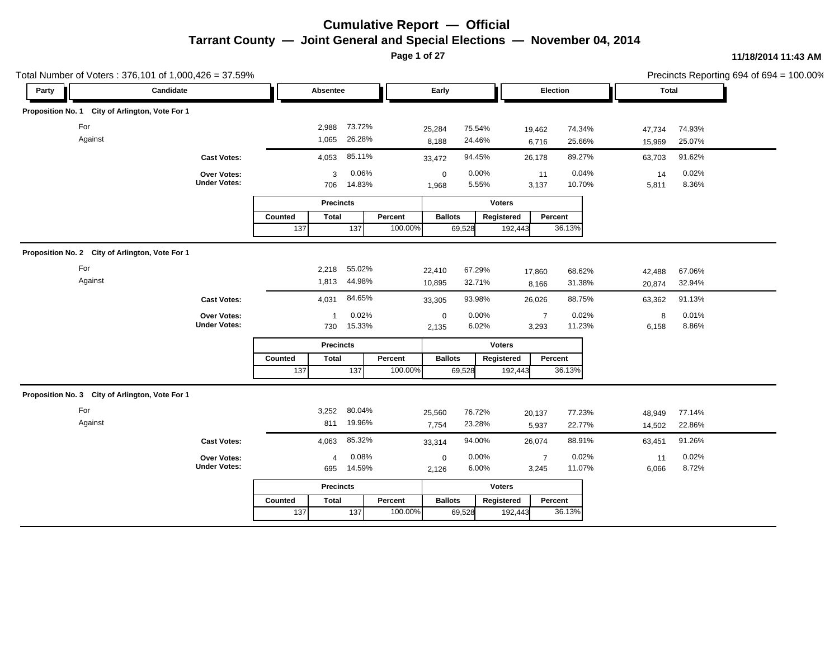**Page 1 of 27**

| Total Number of Voters: 376,101 of 1,000,426 = 37.59% |                                    |                  |                  |                  |         |                      |                  |               |                 |                  |                  | Precincts Reporting 694 of 694 = 100.00% |  |
|-------------------------------------------------------|------------------------------------|------------------|------------------|------------------|---------|----------------------|------------------|---------------|-----------------|------------------|------------------|------------------------------------------|--|
| Party                                                 | Candidate                          |                  | Absentee         |                  |         | Early                |                  |               |                 | Election         | <b>Total</b>     |                                          |  |
| Proposition No. 1 City of Arlington, Vote For 1       |                                    |                  |                  |                  |         |                      |                  |               |                 |                  |                  |                                          |  |
| For<br>Against                                        |                                    |                  | 2,988<br>1,065   | 73.72%<br>26.28% |         | 25,284<br>8,188      | 75.54%<br>24.46% |               | 19,462<br>6,716 | 74.34%<br>25.66% | 47,734<br>15,969 | 74.93%<br>25.07%                         |  |
|                                                       | <b>Cast Votes:</b>                 |                  | 4,053            | 85.11%           |         | 33,472               | 94.45%           |               | 26,178          | 89.27%           | 63,703           | 91.62%                                   |  |
|                                                       | Over Votes:<br><b>Under Votes:</b> |                  | 3<br>706         | 0.06%<br>14.83%  |         | $\mathbf 0$<br>1,968 | 0.00%<br>5.55%   |               | 11<br>3,137     | 0.04%<br>10.70%  | 14<br>5,811      | 0.02%<br>8.36%                           |  |
|                                                       |                                    |                  | <b>Precincts</b> |                  |         |                      |                  | <b>Voters</b> |                 |                  |                  |                                          |  |
|                                                       |                                    | Counted          | <b>Total</b>     |                  | Percent | <b>Ballots</b>       |                  | Registered    | Percent         |                  |                  |                                          |  |
|                                                       |                                    | $\overline{137}$ |                  | $\overline{137}$ | 100.00% |                      | 69,528           | 192,443       |                 | 36.13%           |                  |                                          |  |
| Proposition No. 2 City of Arlington, Vote For 1       |                                    |                  |                  |                  |         |                      |                  |               |                 |                  |                  |                                          |  |
| For                                                   |                                    |                  | 2,218            | 55.02%           |         | 22,410               | 67.29%           |               | 17,860          | 68.62%           | 42,488           | 67.06%                                   |  |
| Against                                               |                                    |                  | 1,813            | 44.98%           |         | 10,895               | 32.71%           |               | 8,166           | 31.38%           | 20,874           | 32.94%                                   |  |
|                                                       | <b>Cast Votes:</b>                 |                  | 4,031            | 84.65%           |         | 33,305               | 93.98%           |               | 26,026          | 88.75%           | 63,362           | 91.13%                                   |  |
|                                                       | Over Votes:                        |                  | $\overline{1}$   | 0.02%            |         | $\mathsf 0$          | 0.00%            |               | $\overline{7}$  | 0.02%            | 8                | 0.01%                                    |  |
|                                                       | <b>Under Votes:</b>                |                  | 730              | 15.33%           |         | 2,135                | 6.02%            |               | 3,293           | 11.23%           | 6,158            | 8.86%                                    |  |
|                                                       |                                    |                  | <b>Precincts</b> |                  |         |                      |                  | <b>Voters</b> |                 |                  |                  |                                          |  |
|                                                       |                                    | Counted          | <b>Total</b>     |                  | Percent | <b>Ballots</b>       |                  | Registered    | Percent         |                  |                  |                                          |  |
|                                                       |                                    | 137              |                  | $\overline{137}$ | 100.00% |                      | 69,528           | 192,443       |                 | 36.13%           |                  |                                          |  |
| Proposition No. 3 City of Arlington, Vote For 1       |                                    |                  |                  |                  |         |                      |                  |               |                 |                  |                  |                                          |  |
| For                                                   |                                    |                  | 3,252            | 80.04%           |         | 25,560               | 76.72%           |               | 20,137          | 77.23%           | 48,949           | 77.14%                                   |  |
| Against                                               |                                    |                  | 811              | 19.96%           |         | 7,754                | 23.28%           |               | 5,937           | 22.77%           | 14,502           | 22.86%                                   |  |
|                                                       | <b>Cast Votes:</b>                 |                  | 4,063            | 85.32%           |         | 33,314               | 94.00%           |               | 26,074          | 88.91%           | 63,451           | 91.26%                                   |  |
|                                                       | Over Votes:                        |                  | 4                | 0.08%            |         | $\mathbf 0$          | 0.00%            |               | $\overline{7}$  | 0.02%            | 11               | 0.02%                                    |  |
|                                                       | <b>Under Votes:</b>                |                  | 695              | 14.59%           |         | 2,126                | 6.00%            |               | 3,245           | 11.07%           | 6,066            | 8.72%                                    |  |
|                                                       |                                    |                  | <b>Precincts</b> |                  |         |                      |                  | <b>Voters</b> |                 |                  |                  |                                          |  |
|                                                       |                                    | Counted          | <b>Total</b>     |                  | Percent | <b>Ballots</b>       |                  | Registered    | Percent         |                  |                  |                                          |  |
|                                                       |                                    | 137              |                  | 137              | 100.00% |                      | 69,528           | 192,443       |                 | 36.13%           |                  |                                          |  |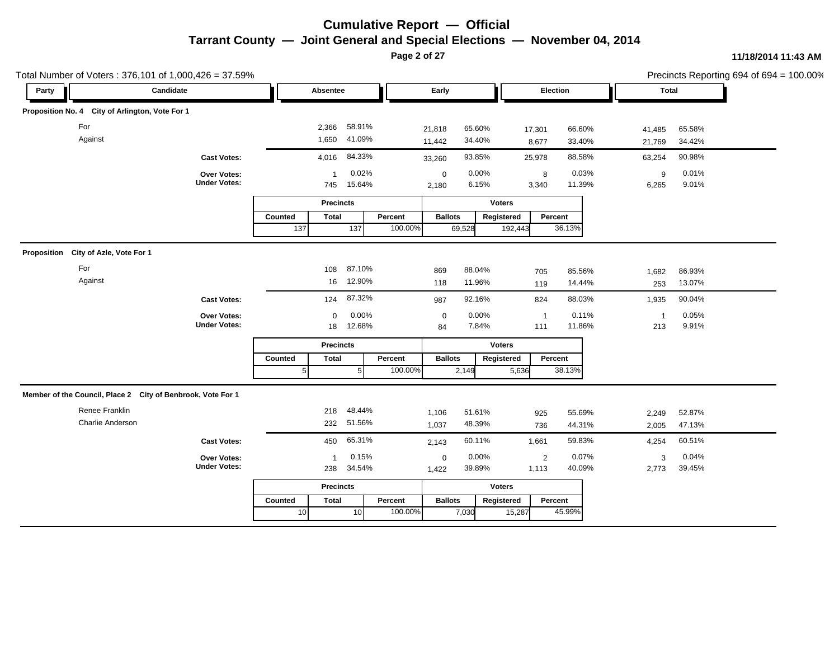**Page 2 of 27**

| Total Number of Voters: 376,101 of 1,000,426 = 37.59%       |                                    |                |                       |                 |         |                      |                |               |                |                 |                | Precincts Reporting 694 of 694 = 100.00% |  |
|-------------------------------------------------------------|------------------------------------|----------------|-----------------------|-----------------|---------|----------------------|----------------|---------------|----------------|-----------------|----------------|------------------------------------------|--|
| Party                                                       | Candidate                          |                | Absentee              |                 |         | Early                |                |               |                | Election        | <b>Total</b>   |                                          |  |
| Proposition No. 4 City of Arlington, Vote For 1             |                                    |                |                       |                 |         |                      |                |               |                |                 |                |                                          |  |
| For                                                         |                                    |                | 2,366                 | 58.91%          |         | 21,818               | 65.60%         |               | 17,301         | 66.60%          | 41,485         | 65.58%                                   |  |
| Against                                                     |                                    |                | 1,650                 | 41.09%          |         | 11,442               | 34.40%         |               | 8,677          | 33.40%          | 21,769         | 34.42%                                   |  |
|                                                             | <b>Cast Votes:</b>                 |                | 4,016                 | 84.33%          |         | 33,260               | 93.85%         |               | 25,978         | 88.58%          | 63,254         | 90.98%                                   |  |
|                                                             | Over Votes:<br><b>Under Votes:</b> |                | $\overline{1}$<br>745 | 0.02%<br>15.64% |         | $\mathbf 0$<br>2,180 | 0.00%<br>6.15% |               | 8<br>3,340     | 0.03%<br>11.39% | 9<br>6,265     | 0.01%<br>9.01%                           |  |
|                                                             |                                    |                | <b>Precincts</b>      |                 |         |                      |                | <b>Voters</b> |                |                 |                |                                          |  |
|                                                             |                                    | Counted        | <b>Total</b>          |                 | Percent | <b>Ballots</b>       |                | Registered    |                | Percent         |                |                                          |  |
|                                                             |                                    | 137            |                       | 137             | 100.00% |                      | 69,528         | 192,443       |                | 36.13%          |                |                                          |  |
| Proposition City of Azle, Vote For 1                        |                                    |                |                       |                 |         |                      |                |               |                |                 |                |                                          |  |
| For                                                         |                                    |                | 108                   | 87.10%          |         | 869                  | 88.04%         |               | 705            | 85.56%          | 1,682          | 86.93%                                   |  |
| Against                                                     |                                    |                | 16                    | 12.90%          |         | 118                  | 11.96%         |               | 119            | 14.44%          | 253            | 13.07%                                   |  |
|                                                             | <b>Cast Votes:</b>                 |                | 124                   | 87.32%          |         | 987                  | 92.16%         |               | 824            | 88.03%          | 1,935          | 90.04%                                   |  |
|                                                             | Over Votes:                        |                | $\mathbf 0$           | 0.00%           |         | $\mathbf 0$          | 0.00%          |               | $\overline{1}$ | 0.11%           | $\overline{1}$ | 0.05%                                    |  |
|                                                             | <b>Under Votes:</b>                |                | 18                    | 12.68%          |         | 84                   | 7.84%          |               | 111            | 11.86%          | 213            | 9.91%                                    |  |
|                                                             |                                    |                | <b>Precincts</b>      |                 |         |                      |                | <b>Voters</b> |                |                 |                |                                          |  |
|                                                             |                                    | Counted        | <b>Total</b>          |                 | Percent | <b>Ballots</b>       |                | Registered    |                | Percent         |                |                                          |  |
|                                                             |                                    | 5 <sub>l</sub> |                       | 5 <sub>l</sub>  | 100.00% |                      | 2,149          | 5,636         |                | 38.13%          |                |                                          |  |
| Member of the Council, Place 2 City of Benbrook, Vote For 1 |                                    |                |                       |                 |         |                      |                |               |                |                 |                |                                          |  |
| Renee Franklin                                              |                                    |                | 218                   | 48.44%          |         | 1,106                | 51.61%         |               | 925            | 55.69%          | 2,249          | 52.87%                                   |  |
| Charlie Anderson                                            |                                    |                | 232                   | 51.56%          |         | 1,037                | 48.39%         |               | 736            | 44.31%          | 2,005          | 47.13%                                   |  |
|                                                             | <b>Cast Votes:</b>                 |                | 450                   | 65.31%          |         | 2,143                | 60.11%         |               | 1,661          | 59.83%          | 4,254          | 60.51%                                   |  |
|                                                             | Over Votes:                        |                | -1                    | 0.15%           |         | $\mathbf 0$          | 0.00%          |               | $\overline{2}$ | 0.07%           | 3              | 0.04%                                    |  |
|                                                             | <b>Under Votes:</b>                |                | 238                   | 34.54%          |         | 1,422                | 39.89%         |               | 1,113          | 40.09%          | 2,773          | 39.45%                                   |  |
|                                                             |                                    |                | <b>Precincts</b>      |                 |         |                      |                | <b>Voters</b> |                |                 |                |                                          |  |
|                                                             |                                    | Counted        | <b>Total</b>          |                 | Percent | <b>Ballots</b>       |                | Registered    |                | Percent         |                |                                          |  |
|                                                             |                                    | 10             |                       | 10 <sup>1</sup> | 100.00% |                      | 7,030          | 15,287        |                | 45.99%          |                |                                          |  |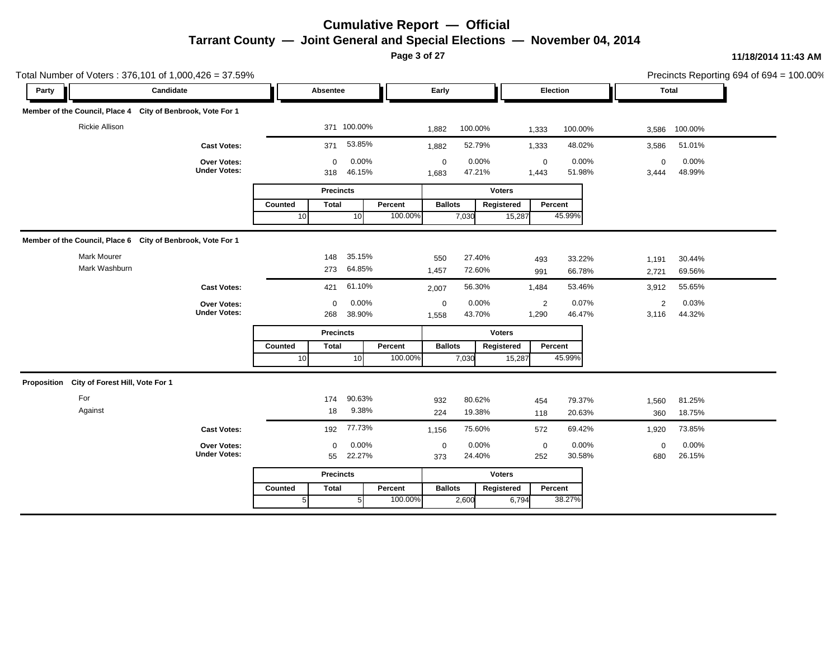**Page 3 of 27**

| Total Number of Voters: 376,101 of 1,000,426 = 37.59%       |                                    |                 |                    |                 |         |                           |                 |               |                      |                 |                      |                 | Precincts Reporting 694 of 694 = 100.00% |
|-------------------------------------------------------------|------------------------------------|-----------------|--------------------|-----------------|---------|---------------------------|-----------------|---------------|----------------------|-----------------|----------------------|-----------------|------------------------------------------|
| Party                                                       | Candidate                          |                 | Absentee           |                 |         | Early                     |                 |               | Election             |                 | <b>Total</b>         |                 |                                          |
| Member of the Council, Place 4 City of Benbrook, Vote For 1 |                                    |                 |                    |                 |         |                           |                 |               |                      |                 |                      |                 |                                          |
| <b>Rickie Allison</b>                                       |                                    |                 |                    | 371 100.00%     |         | 1,882                     | 100.00%         |               | 1,333                | 100.00%         | 3,586                | 100.00%         |                                          |
|                                                             | <b>Cast Votes:</b>                 |                 | 371                | 53.85%          |         | 1,882                     | 52.79%          |               | 1,333                | 48.02%          | 3,586                | 51.01%          |                                          |
|                                                             | Over Votes:<br><b>Under Votes:</b> |                 | $\mathbf 0$<br>318 | 0.00%<br>46.15% |         | $\boldsymbol{0}$<br>1,683 | 0.00%<br>47.21% |               | $\mathbf 0$<br>1,443 | 0.00%<br>51.98% | $\mathbf 0$<br>3,444 | 0.00%<br>48.99% |                                          |
|                                                             |                                    |                 | <b>Precincts</b>   |                 |         |                           |                 | <b>Voters</b> |                      |                 |                      |                 |                                          |
|                                                             |                                    | Counted         | <b>Total</b>       |                 | Percent | <b>Ballots</b>            |                 | Registered    | Percent              |                 |                      |                 |                                          |
|                                                             |                                    | 10 <sup>1</sup> |                    | 10              | 100.00% |                           | 7,030           | 15,287        |                      | 45.99%          |                      |                 |                                          |
| Member of the Council, Place 6 City of Benbrook, Vote For 1 |                                    |                 |                    |                 |         |                           |                 |               |                      |                 |                      |                 |                                          |
| <b>Mark Mourer</b>                                          |                                    |                 | 148                | 35.15%          |         | 550                       | 27.40%          |               | 493                  | 33.22%          | 1,191                | 30.44%          |                                          |
| Mark Washburn                                               |                                    |                 | 273                | 64.85%          |         | 1,457                     | 72.60%          |               | 991                  | 66.78%          | 2,721                | 69.56%          |                                          |
|                                                             | <b>Cast Votes:</b>                 |                 | 421                | 61.10%          |         | 2,007                     | 56.30%          |               | 1,484                | 53.46%          | 3,912                | 55.65%          |                                          |
|                                                             | Over Votes:                        |                 | $\mathbf 0$        | 0.00%           |         | $\boldsymbol{0}$          | 0.00%           |               | $\overline{2}$       | 0.07%           | 2                    | 0.03%           |                                          |
|                                                             | <b>Under Votes:</b>                |                 | 268                | 38.90%          |         | 1,558                     | 43.70%          |               | 1,290                | 46.47%          | 3,116                | 44.32%          |                                          |
|                                                             |                                    |                 | <b>Precincts</b>   |                 |         |                           |                 | <b>Voters</b> |                      |                 |                      |                 |                                          |
|                                                             |                                    | Counted         | <b>Total</b>       |                 | Percent | <b>Ballots</b>            |                 | Registered    | Percent              |                 |                      |                 |                                          |
|                                                             |                                    | 10              |                    | 10 <sup>1</sup> | 100.00% |                           | 7,030           | 15,287        |                      | 45.99%          |                      |                 |                                          |
| City of Forest Hill, Vote For 1<br>Proposition              |                                    |                 |                    |                 |         |                           |                 |               |                      |                 |                      |                 |                                          |
| For                                                         |                                    |                 | 174                | 90.63%          |         | 932                       | 80.62%          |               | 454                  | 79.37%          | 1,560                | 81.25%          |                                          |
| Against                                                     |                                    |                 | 18                 | 9.38%           |         | 224                       | 19.38%          |               | 118                  | 20.63%          | 360                  | 18.75%          |                                          |
|                                                             | <b>Cast Votes:</b>                 |                 | 192                | 77.73%          |         | 1,156                     | 75.60%          |               | 572                  | 69.42%          | 1,920                | 73.85%          |                                          |
|                                                             | Over Votes:                        |                 | $\mathbf 0$        | 0.00%           |         | $\mathbf 0$               | 0.00%           |               | $\mathbf 0$          | 0.00%           | $\mathbf 0$          | 0.00%           |                                          |
|                                                             | <b>Under Votes:</b>                |                 | 55                 | 22.27%          |         | 373                       | 24.40%          |               | 252                  | 30.58%          | 680                  | 26.15%          |                                          |
|                                                             |                                    |                 | <b>Precincts</b>   |                 |         |                           |                 | <b>Voters</b> |                      |                 |                      |                 |                                          |
|                                                             |                                    | Counted         | <b>Total</b>       |                 | Percent | <b>Ballots</b>            |                 | Registered    | Percent              |                 |                      |                 |                                          |
|                                                             |                                    | 5 <sub>l</sub>  |                    | 5               | 100.00% |                           | 2,600           | 6,794         |                      | 38.27%          |                      |                 |                                          |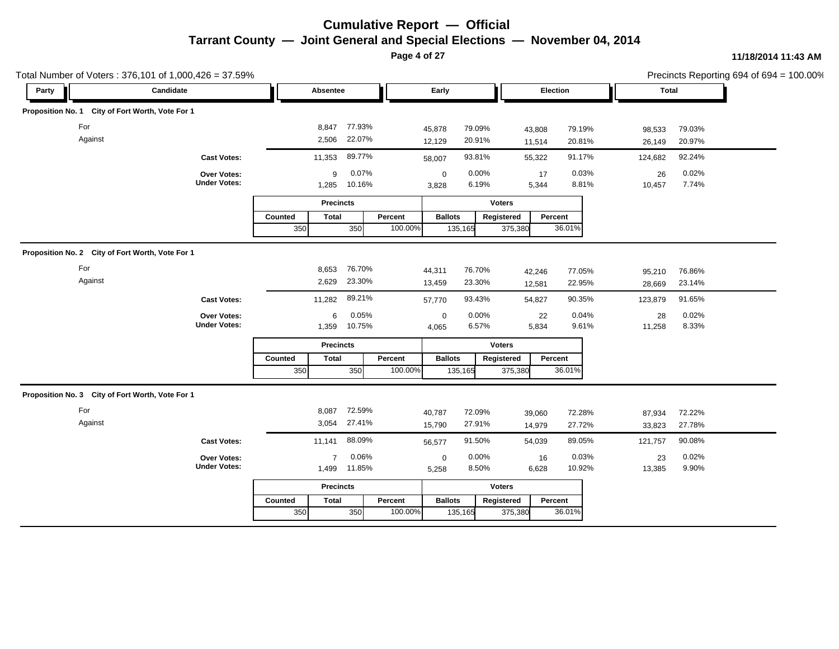**Page 4 of 27**

| Total Number of Voters: 376,101 of 1,000,426 = 37.59% |                                    |                                    |         |                                        |                       |                  |                  |                  | Precincts Reporting 694 of 694 = 100.00% |
|-------------------------------------------------------|------------------------------------|------------------------------------|---------|----------------------------------------|-----------------------|------------------|------------------|------------------|------------------------------------------|
| Party                                                 | Candidate                          | Absentee                           |         | Early                                  | Election              |                  | <b>Total</b>     |                  |                                          |
| Proposition No. 1 City of Fort Worth, Vote For 1      |                                    |                                    |         |                                        |                       |                  |                  |                  |                                          |
| For<br>Against                                        |                                    | 77.93%<br>8,847<br>22.07%<br>2,506 |         | 79.09%<br>45,878<br>20.91%<br>12,129   | 43,808<br>11,514      | 79.19%<br>20.81% | 98,533<br>26,149 | 79.03%<br>20.97% |                                          |
|                                                       | <b>Cast Votes:</b>                 | 89.77%<br>11,353                   |         | 93.81%<br>58,007                       | 55,322                | 91.17%           | 124,682          | 92.24%           |                                          |
|                                                       | Over Votes:<br><b>Under Votes:</b> | 0.07%<br>9<br>10.16%<br>1,285      |         | 0.00%<br>$\mathbf 0$<br>6.19%<br>3,828 | 17<br>5,344           | 0.03%<br>8.81%   | 26<br>10,457     | 0.02%<br>7.74%   |                                          |
|                                                       |                                    | <b>Precincts</b>                   |         |                                        | <b>Voters</b>         |                  |                  |                  |                                          |
|                                                       |                                    | Counted<br><b>Total</b>            | Percent | <b>Ballots</b>                         | Percent<br>Registered |                  |                  |                  |                                          |
|                                                       |                                    | 350<br>350                         | 100.00% | 135,165                                | 375,380               | 36.01%           |                  |                  |                                          |
| Proposition No. 2 City of Fort Worth, Vote For 1      |                                    |                                    |         |                                        |                       |                  |                  |                  |                                          |
| For                                                   |                                    | 76.70%<br>8,653                    |         | 76.70%<br>44,311                       | 42,246                | 77.05%           | 95,210           | 76.86%           |                                          |
| Against                                               |                                    | 23.30%<br>2,629                    |         | 23.30%<br>13,459                       | 12,581                | 22.95%           | 28,669           | 23.14%           |                                          |
|                                                       | <b>Cast Votes:</b>                 | 89.21%<br>11,282                   |         | 93.43%<br>57,770                       | 54,827                | 90.35%           | 123,879          | 91.65%           |                                          |
|                                                       | Over Votes:                        | 0.05%<br>6                         |         | 0.00%<br>$\mathbf 0$                   | 22                    | 0.04%            | 28               | 0.02%            |                                          |
|                                                       | <b>Under Votes:</b>                | 10.75%<br>1,359                    |         | 6.57%<br>4,065                         | 5,834                 | 9.61%            | 11,258           | 8.33%            |                                          |
|                                                       |                                    | <b>Precincts</b>                   |         |                                        | <b>Voters</b>         |                  |                  |                  |                                          |
|                                                       |                                    | Counted<br><b>Total</b>            | Percent | <b>Ballots</b>                         | Registered<br>Percent |                  |                  |                  |                                          |
|                                                       |                                    | 350<br>350                         | 100.00% | 135,165                                | 375,380               | 36.01%           |                  |                  |                                          |
| Proposition No. 3 City of Fort Worth, Vote For 1      |                                    |                                    |         |                                        |                       |                  |                  |                  |                                          |
| For                                                   |                                    | 72.59%<br>8,087                    |         | 72.09%<br>40,787                       | 39,060                | 72.28%           | 87,934           | 72.22%           |                                          |
| Against                                               |                                    | 27.41%<br>3,054                    |         | 27.91%<br>15,790                       | 14,979                | 27.72%           | 33,823           | 27.78%           |                                          |
|                                                       | <b>Cast Votes:</b>                 | 88.09%<br>11,141                   |         | 91.50%<br>56,577                       | 54,039                | 89.05%           | 121,757          | 90.08%           |                                          |
|                                                       | Over Votes:                        | 0.06%<br>$\overline{7}$            |         | 0.00%<br>$\mathbf 0$                   | 16                    | 0.03%            | 23               | 0.02%            |                                          |
|                                                       | <b>Under Votes:</b>                | 11.85%<br>1,499                    |         | 8.50%<br>5,258                         | 6,628                 | 10.92%           | 13,385           | 9.90%            |                                          |
|                                                       |                                    | <b>Precincts</b>                   |         |                                        | <b>Voters</b>         |                  |                  |                  |                                          |
|                                                       |                                    | <b>Total</b><br>Counted            | Percent | <b>Ballots</b>                         | Percent<br>Registered |                  |                  |                  |                                          |
|                                                       |                                    | 350<br>350                         | 100.00% | 135,165                                | 375,380               | 36.01%           |                  |                  |                                          |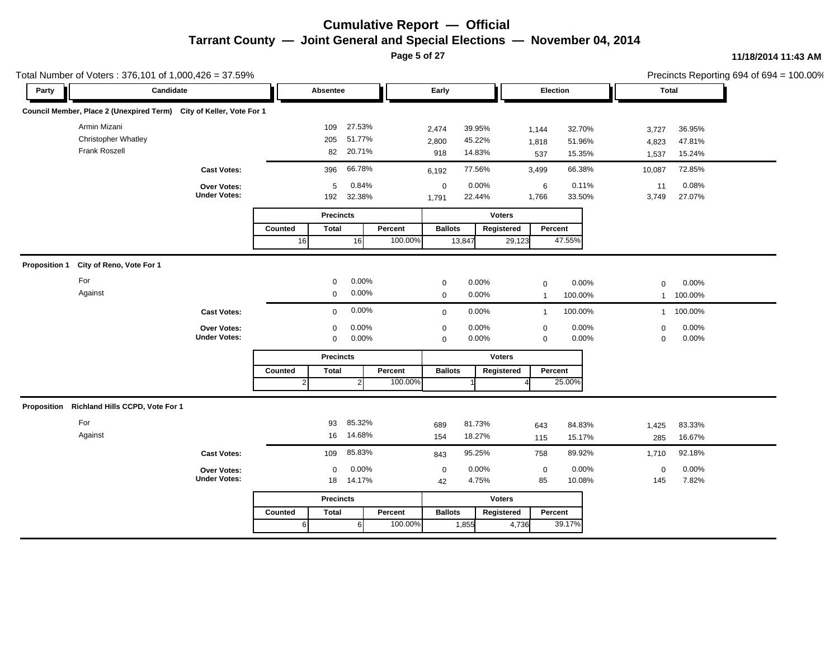**Page 5 of 27**

|       | Total Number of Voters: 376,101 of 1,000,426 = 37.59%               |                                           |                           |                                                |                    |                                                     |                       |                                      |                            | Precincts Reporting 694 of 694 = 100.00% |  |
|-------|---------------------------------------------------------------------|-------------------------------------------|---------------------------|------------------------------------------------|--------------------|-----------------------------------------------------|-----------------------|--------------------------------------|----------------------------|------------------------------------------|--|
| Party | Candidate                                                           |                                           |                           | Absentee                                       |                    | Early                                               |                       | Election                             | <b>Total</b>               |                                          |  |
|       | Council Member, Place 2 (Unexpired Term) City of Keller, Vote For 1 |                                           |                           |                                                |                    |                                                     |                       |                                      |                            |                                          |  |
|       | Armin Mizani<br><b>Christopher Whatley</b><br>Frank Roszell         |                                           |                           | 27.53%<br>109<br>51.77%<br>205<br>20.71%<br>82 |                    | 2,474<br>39.95%<br>45.22%<br>2,800<br>14.83%<br>918 | 1,144<br>1,818<br>537 | 32.70%<br>51.96%<br>15.35%           | 3,727<br>4,823<br>1,537    | 36.95%<br>47.81%<br>15.24%               |  |
|       |                                                                     | <b>Cast Votes:</b>                        |                           | 66.78%<br>396                                  |                    | 77.56%<br>6,192                                     | 3,499                 | 66.38%                               | 10,087                     | 72.85%                                   |  |
|       |                                                                     | Over Votes:<br><b>Under Votes:</b>        |                           | 0.84%<br>5<br>32.38%<br>192                    |                    | $0.00\%$<br>$\mathbf 0$<br>22.44%<br>1,791          | 1,766                 | 0.11%<br>6<br>33.50%                 | 11<br>3,749                | 0.08%<br>27.07%                          |  |
|       |                                                                     |                                           |                           | <b>Precincts</b>                               |                    |                                                     | <b>Voters</b>         |                                      |                            |                                          |  |
|       |                                                                     |                                           | Counted<br>16             | <b>Total</b><br>16                             | Percent<br>100.00% | <b>Ballots</b><br>13,847                            | Registered<br>29,123  | Percent<br>47.55%                    |                            |                                          |  |
|       | Proposition 1 City of Reno, Vote For 1                              |                                           |                           |                                                |                    |                                                     |                       |                                      |                            |                                          |  |
|       | For                                                                 |                                           |                           | 0.00%<br>$\mathbf{0}$                          |                    | 0.00%<br>$\mathbf 0$                                |                       | 0.00%<br>$\mathbf 0$                 | $\mathbf 0$                | 0.00%                                    |  |
|       | Against                                                             |                                           |                           | 0.00%<br>$\mathbf 0$                           |                    | 0.00%<br>$\mathbf 0$                                |                       | 100.00%<br>$\overline{1}$            | 1                          | 100.00%                                  |  |
|       |                                                                     | <b>Cast Votes:</b>                        |                           | $\mathbf 0$                                    | 0.00%              | $0.00\%$<br>$\mathbf 0$                             |                       | 100.00%<br>$\overline{1}$            | $\mathbf{1}$               | 100.00%                                  |  |
|       |                                                                     | Over Votes:<br><b>Under Votes:</b>        |                           | 0.00%<br>$\Omega$<br>$0.00\%$<br>$\mathbf 0$   |                    | 0.00%<br>$\mathbf 0$<br>0.00%<br>0                  |                       | 0.00%<br>0<br>0.00%<br>0             | $\mathbf 0$<br>$\mathbf 0$ | 0.00%<br>0.00%                           |  |
|       |                                                                     |                                           |                           | <b>Precincts</b>                               |                    |                                                     | <b>Voters</b>         |                                      |                            |                                          |  |
|       |                                                                     |                                           | Counted<br>$\overline{2}$ | <b>Total</b><br>$\overline{2}$                 | Percent<br>100.00% | <b>Ballots</b>                                      | Registered            | Percent<br>25.00%                    |                            |                                          |  |
|       | Proposition Richland Hills CCPD, Vote For 1                         |                                           |                           |                                                |                    |                                                     |                       |                                      |                            |                                          |  |
|       | For<br>Against                                                      |                                           |                           | 85.32%<br>93<br>14.68%<br>16                   |                    | 81.73%<br>689<br>18.27%<br>154                      | 643<br>115            | 84.83%<br>15.17%                     | 1,425<br>285               | 83.33%<br>16.67%                         |  |
|       |                                                                     | <b>Cast Votes:</b>                        |                           | 85.83%<br>109                                  |                    | 95.25%<br>843                                       | 758                   | 89.92%                               | 1,710                      | 92.18%                                   |  |
|       |                                                                     | <b>Over Votes:</b><br><b>Under Votes:</b> |                           | 0.00%<br>$\mathbf 0$<br>14.17%<br>18           |                    | 0.00%<br>0<br>4.75%<br>42                           |                       | 0.00%<br>$\mathbf 0$<br>10.08%<br>85 | $\mathbf 0$<br>145         | 0.00%<br>7.82%                           |  |
|       |                                                                     |                                           |                           | <b>Precincts</b>                               |                    |                                                     | <b>Voters</b>         |                                      |                            |                                          |  |
|       |                                                                     |                                           | Counted                   | <b>Total</b>                                   | Percent            | <b>Ballots</b>                                      | Registered            | Percent                              |                            |                                          |  |
|       |                                                                     |                                           | $6 \overline{6}$          | 6                                              | 100.00%            | 1,855                                               | 4,736                 | 39.17%                               |                            |                                          |  |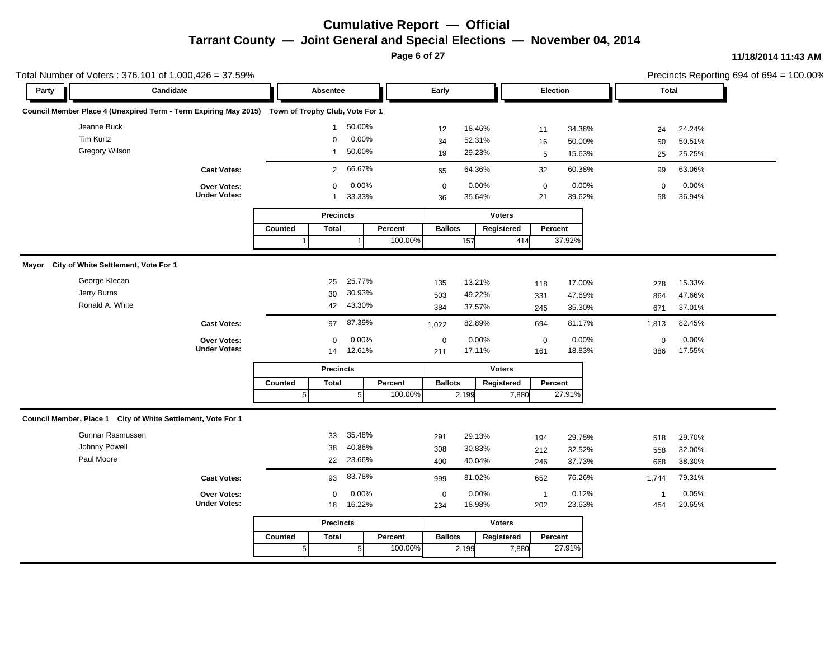**Page 6 of 27**

|       | Total Number of Voters: 376,101 of 1,000,426 = 37.59%                                            |                          |                           |                           |                       | Precincts Reporting 694 of 694 = 100.00% |
|-------|--------------------------------------------------------------------------------------------------|--------------------------|---------------------------|---------------------------|-----------------------|------------------------------------------|
| Party | Candidate                                                                                        | Absentee                 | Early                     | Election                  | <b>Total</b>          |                                          |
|       | Council Member Place 4 (Unexpired Term - Term Expiring May 2015) Town of Trophy Club, Vote For 1 |                          |                           |                           |                       |                                          |
|       | Jeanne Buck                                                                                      | 50.00%<br>$\mathbf{1}$   | 12<br>18.46%              | 34.38%<br>11              | 24.24%<br>24          |                                          |
|       | Tim Kurtz                                                                                        | 0.00%<br>$\mathbf 0$     | 52.31%<br>34              | 50.00%<br>16              | 50<br>50.51%          |                                          |
|       | <b>Gregory Wilson</b>                                                                            | 50.00%<br>$\mathbf{1}$   | 29.23%<br>19              | 15.63%<br>$5\phantom{.0}$ | 25.25%<br>25          |                                          |
|       | <b>Cast Votes:</b>                                                                               | 66.67%<br>$\overline{2}$ | 64.36%<br>65              | 60.38%<br>32              | 63.06%<br>99          |                                          |
|       | Over Votes:                                                                                      | 0.00%<br>$\mathbf 0$     | 0.00%<br>$\mathbf 0$      | 0.00%<br>$\mathbf 0$      | 0.00%<br>$\mathbf 0$  |                                          |
|       | <b>Under Votes:</b>                                                                              | 33.33%<br>$\mathbf{1}$   | 35.64%<br>36              | 21<br>39.62%              | 36.94%<br>58          |                                          |
|       |                                                                                                  | <b>Precincts</b>         |                           | <b>Voters</b>             |                       |                                          |
|       |                                                                                                  | Counted<br><b>Total</b>  | Percent<br><b>Ballots</b> | Registered<br>Percent     |                       |                                          |
|       |                                                                                                  |                          | 100.00%<br>157            | 37.92%<br>414             |                       |                                          |
|       | Mayor City of White Settlement, Vote For 1                                                       |                          |                           |                           |                       |                                          |
|       | George Klecan                                                                                    | 25.77%<br>25             | 13.21%<br>135             | 17.00%<br>118             | 15.33%<br>278         |                                          |
|       | Jerry Burns                                                                                      | 30.93%<br>30             | 49.22%<br>503             | 47.69%<br>331             | 47.66%<br>864         |                                          |
|       | Ronald A. White                                                                                  | 43.30%<br>42             | 37.57%<br>384             | 35.30%<br>245             | 37.01%<br>671         |                                          |
|       | <b>Cast Votes:</b>                                                                               | 87.39%<br>97             | 82.89%<br>1,022           | 694<br>81.17%             | 82.45%<br>1,813       |                                          |
|       | Over Votes:                                                                                      | 0.00%<br>0               | $\pmb{0}$<br>0.00%        | 0.00%<br>$\mathbf 0$      | 0.00%<br>$\mathsf 0$  |                                          |
|       | <b>Under Votes:</b>                                                                              | 12.61%<br>14             | 17.11%<br>211             | 161<br>18.83%             | 17.55%<br>386         |                                          |
|       |                                                                                                  | <b>Precincts</b>         |                           | <b>Voters</b>             |                       |                                          |
|       |                                                                                                  | Counted<br><b>Total</b>  | Percent<br><b>Ballots</b> | Registered<br>Percent     |                       |                                          |
|       |                                                                                                  | 5 <sup>5</sup><br>5      | 100.00%<br>2,199          | 27.91%<br>7,880           |                       |                                          |
|       | Council Member, Place 1 City of White Settlement, Vote For 1                                     |                          |                           |                           |                       |                                          |
|       | Gunnar Rasmussen                                                                                 | 35.48%<br>33             | 29.13%<br>291             | 29.75%<br>194             | 29.70%<br>518         |                                          |
|       | Johnny Powell                                                                                    | 40.86%<br>38             | 30.83%<br>308             | 32.52%<br>212             | 32.00%<br>558         |                                          |
|       | Paul Moore                                                                                       | 23.66%<br>22             | 40.04%<br>400             | 37.73%<br>246             | 38.30%<br>668         |                                          |
|       | <b>Cast Votes:</b>                                                                               | 83.78%<br>93             | 81.02%<br>999             | 76.26%<br>652             | 79.31%<br>1,744       |                                          |
|       | Over Votes:                                                                                      | 0.00%<br>0               | 0.00%<br>$\mathbf 0$      | 0.12%<br>$\overline{1}$   | 0.05%<br>$\mathbf{1}$ |                                          |
|       | <b>Under Votes:</b>                                                                              | 16.22%<br>18             | 18.98%<br>234             | 202<br>23.63%             | 454<br>20.65%         |                                          |
|       |                                                                                                  | <b>Precincts</b>         |                           | <b>Voters</b>             |                       |                                          |
|       |                                                                                                  | <b>Total</b><br>Counted  | <b>Ballots</b><br>Percent | Registered<br>Percent     |                       |                                          |
|       |                                                                                                  | 100.00%<br>2,199         | 27.91%<br>7,880           |                           |                       |                                          |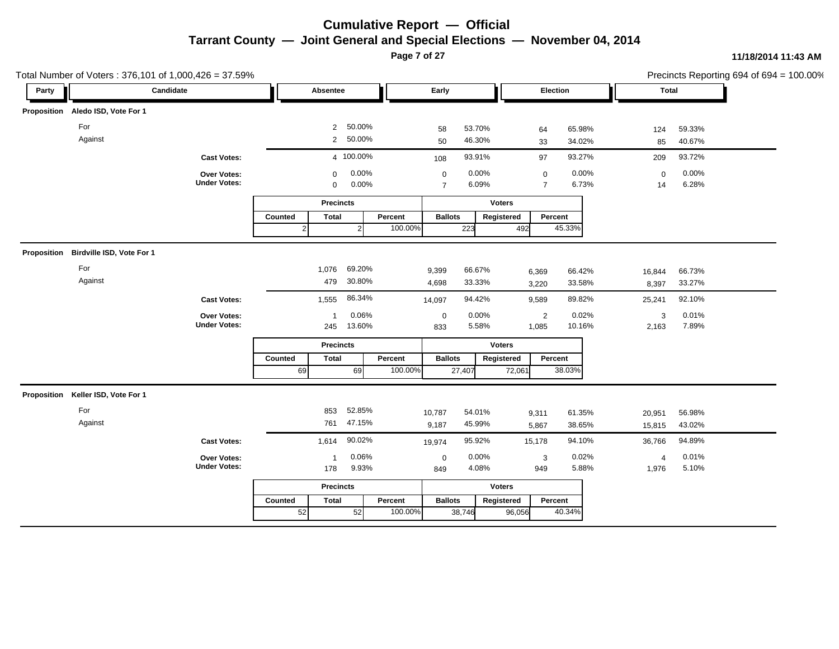**Page 7 of 27**

| Total Number of Voters: 376,101 of 1,000,426 = 37.59% |                                       |                                    |              |                  |                   |         |                               |                |               |                                    |                |                   |                | Precincts Reporting 694 of 694 = 100.00% |
|-------------------------------------------------------|---------------------------------------|------------------------------------|--------------|------------------|-------------------|---------|-------------------------------|----------------|---------------|------------------------------------|----------------|-------------------|----------------|------------------------------------------|
| Party                                                 | Candidate                             |                                    |              | Absentee         |                   |         | Early                         |                |               |                                    | Election       | <b>Total</b>      |                |                                          |
|                                                       | Proposition Aledo ISD, Vote For 1     |                                    |              |                  |                   |         |                               |                |               |                                    |                |                   |                |                                          |
|                                                       | For                                   |                                    |              | $\overline{2}$   | 50.00%            |         | 58                            | 53.70%         |               | 64                                 | 65.98%         | 124               | 59.33%         |                                          |
|                                                       | Against                               |                                    |              |                  | 2 50.00%          |         | 50                            | 46.30%         |               | 33                                 | 34.02%         | 85                | 40.67%         |                                          |
|                                                       |                                       | <b>Cast Votes:</b>                 |              |                  | 4 100.00%         |         | 108                           | 93.91%         |               | 97                                 | 93.27%         | 209               | 93.72%         |                                          |
|                                                       |                                       | Over Votes:<br><b>Under Votes:</b> |              | 0<br>0           | $0.00\%$<br>0.00% |         | $\mathbf 0$<br>$\overline{7}$ | 0.00%<br>6.09% |               | $\boldsymbol{0}$<br>$\overline{7}$ | 0.00%<br>6.73% | $\mathbf 0$<br>14 | 0.00%<br>6.28% |                                          |
|                                                       |                                       |                                    |              | <b>Precincts</b> |                   |         |                               |                | <b>Voters</b> |                                    |                |                   |                |                                          |
|                                                       |                                       |                                    | Counted      | <b>Total</b>     |                   | Percent | <b>Ballots</b>                |                | Registered    | Percent                            |                |                   |                |                                          |
|                                                       |                                       |                                    | $\mathbf{2}$ |                  | $\mathbf{2}$      | 100.00% |                               | 223            | 492           |                                    | 45.33%         |                   |                |                                          |
|                                                       | Proposition Birdville ISD, Vote For 1 |                                    |              |                  |                   |         |                               |                |               |                                    |                |                   |                |                                          |
|                                                       | For                                   |                                    |              | 1,076            | 69.20%            |         | 9,399                         | 66.67%         |               | 6,369                              | 66.42%         | 16,844            | 66.73%         |                                          |
|                                                       | Against                               |                                    |              | 479              | 30.80%            |         | 4,698                         | 33.33%         |               | 3,220                              | 33.58%         | 8,397             | 33.27%         |                                          |
|                                                       |                                       | <b>Cast Votes:</b>                 |              | 1,555            | 86.34%            |         | 14,097                        | 94.42%         |               | 9,589                              | 89.82%         | 25,241            | 92.10%         |                                          |
|                                                       |                                       | Over Votes:                        |              | $\mathbf 1$      | 0.06%             |         | $\mathbf 0$                   | 0.00%          |               | $\overline{2}$                     | 0.02%          | 3                 | 0.01%          |                                          |
|                                                       |                                       | <b>Under Votes:</b>                |              | 245              | 13.60%            |         | 833                           | 5.58%          |               | 1,085                              | 10.16%         | 2,163             | 7.89%          |                                          |
|                                                       |                                       |                                    |              | <b>Precincts</b> |                   |         |                               |                | <b>Voters</b> |                                    |                |                   |                |                                          |
|                                                       |                                       |                                    | Counted      | <b>Total</b>     |                   | Percent | <b>Ballots</b>                |                | Registered    | Percent                            |                |                   |                |                                          |
|                                                       |                                       |                                    | 69           |                  | 69                | 100.00% |                               | 27,407         | 72,061        |                                    | 38.03%         |                   |                |                                          |
|                                                       | Proposition Keller ISD, Vote For 1    |                                    |              |                  |                   |         |                               |                |               |                                    |                |                   |                |                                          |
|                                                       | For                                   |                                    |              | 853              | 52.85%            |         | 10,787                        | 54.01%         |               | 9,311                              | 61.35%         | 20,951            | 56.98%         |                                          |
|                                                       | Against                               |                                    |              | 761              | 47.15%            |         | 9,187                         | 45.99%         |               | 5,867                              | 38.65%         | 15,815            | 43.02%         |                                          |
|                                                       |                                       | <b>Cast Votes:</b>                 |              | 1,614            | 90.02%            |         | 19,974                        | 95.92%         |               | 15,178                             | 94.10%         | 36,766            | 94.89%         |                                          |
|                                                       |                                       | Over Votes:                        |              | $\overline{1}$   | 0.06%             |         | $\mathbf 0$                   | 0.00%          |               | 3                                  | 0.02%          | $\overline{4}$    | 0.01%          |                                          |
|                                                       |                                       | <b>Under Votes:</b>                |              | 178              | 9.93%             |         | 849                           | 4.08%          |               | 949                                | 5.88%          | 1,976             | 5.10%          |                                          |
|                                                       |                                       |                                    |              | <b>Precincts</b> |                   |         |                               |                | <b>Voters</b> |                                    |                |                   |                |                                          |
|                                                       |                                       |                                    | Counted      | <b>Total</b>     |                   | Percent | <b>Ballots</b>                |                | Registered    | Percent                            |                |                   |                |                                          |
|                                                       |                                       |                                    | 52           |                  | 52                | 100.00% |                               | 38,746         | 96,056        |                                    | 40.34%         |                   |                |                                          |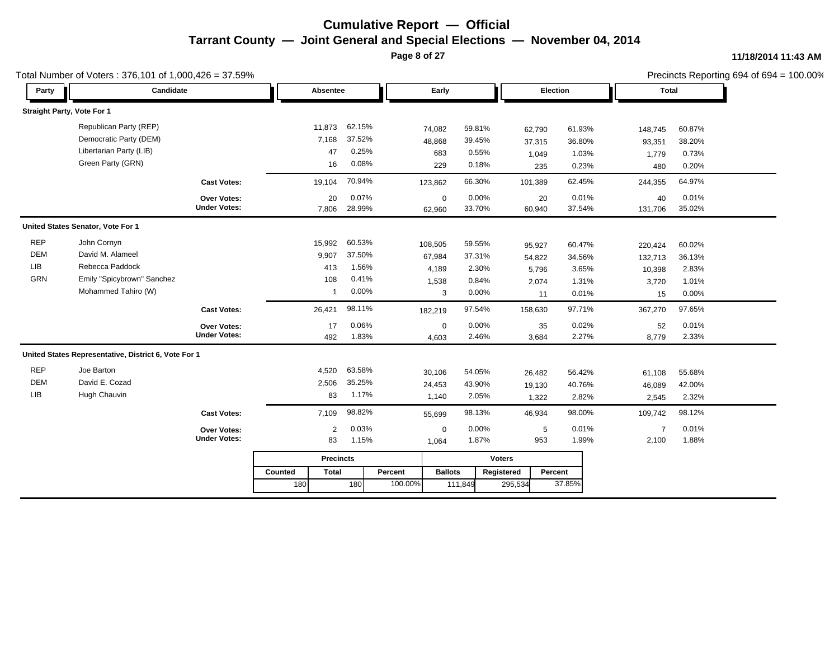**Page 8 of 27**

|            | Total Number of Voters: 376,101 of 1,000,426 = 37.59% |                     |                         |        |         |                |               |          |        |                |        | Precincts Reporting 694 of 694 = 100.00% |
|------------|-------------------------------------------------------|---------------------|-------------------------|--------|---------|----------------|---------------|----------|--------|----------------|--------|------------------------------------------|
| Party      | Candidate                                             |                     | Absentee                |        |         | Early          |               | Election |        | <b>Total</b>   |        |                                          |
|            | Straight Party, Vote For 1                            |                     |                         |        |         |                |               |          |        |                |        |                                          |
|            | Republican Party (REP)                                |                     | 11,873                  | 62.15% | 74,082  |                | 59.81%        | 62,790   | 61.93% | 148,745        | 60.87% |                                          |
|            | Democratic Party (DEM)                                |                     | 7,168                   | 37.52% | 48,868  |                | 39.45%        | 37,315   | 36.80% | 93,351         | 38.20% |                                          |
|            | Libertarian Party (LIB)                               |                     | 47                      | 0.25%  |         | 683            | 0.55%         | 1,049    | 1.03%  | 1,779          | 0.73%  |                                          |
|            | Green Party (GRN)                                     |                     | 16                      | 0.08%  |         | 229            | 0.18%         | 235      | 0.23%  | 480            | 0.20%  |                                          |
|            |                                                       | <b>Cast Votes:</b>  | 19,104                  | 70.94% | 123,862 |                | 66.30%        | 101,389  | 62.45% | 244,355        | 64.97% |                                          |
|            |                                                       | Over Votes:         | 20                      | 0.07%  |         | $\mathbf 0$    | 0.00%         | 20       | 0.01%  | 40             | 0.01%  |                                          |
|            |                                                       | <b>Under Votes:</b> | 7,806                   | 28.99% | 62,960  |                | 33.70%        | 60,940   | 37.54% | 131,706        | 35.02% |                                          |
|            | United States Senator, Vote For 1                     |                     |                         |        |         |                |               |          |        |                |        |                                          |
| <b>REP</b> | John Cornyn                                           |                     | 15,992                  | 60.53% | 108,505 |                | 59.55%        | 95,927   | 60.47% | 220,424        | 60.02% |                                          |
| <b>DEM</b> | David M. Alameel                                      |                     | 9,907                   | 37.50% | 67,984  |                | 37.31%        | 54,822   | 34.56% | 132,713        | 36.13% |                                          |
| LIB        | Rebecca Paddock                                       |                     | 413                     | 1.56%  | 4,189   |                | 2.30%         | 5,796    | 3.65%  | 10,398         | 2.83%  |                                          |
| GRN        | Emily "Spicybrown" Sanchez                            |                     | 108                     | 0.41%  | 1,538   |                | 0.84%         | 2,074    | 1.31%  | 3,720          | 1.01%  |                                          |
|            | Mohammed Tahiro (W)                                   |                     | $\mathbf 1$             | 0.00%  |         | 3              | 0.00%         | 11       | 0.01%  | 15             | 0.00%  |                                          |
|            |                                                       | <b>Cast Votes:</b>  | 26,421                  | 98.11% | 182,219 |                | 97.54%        | 158,630  | 97.71% | 367,270        | 97.65% |                                          |
|            |                                                       | <b>Over Votes:</b>  | 17                      | 0.06%  |         | $\mathbf 0$    | 0.00%         | 35       | 0.02%  | 52             | 0.01%  |                                          |
|            |                                                       | <b>Under Votes:</b> | 492                     | 1.83%  | 4,603   |                | 2.46%         | 3,684    | 2.27%  | 8,779          | 2.33%  |                                          |
|            | United States Representative, District 6, Vote For 1  |                     |                         |        |         |                |               |          |        |                |        |                                          |
| <b>REP</b> | Joe Barton                                            |                     | 4,520                   | 63.58% | 30,106  |                | 54.05%        | 26,482   | 56.42% | 61,108         | 55.68% |                                          |
| <b>DEM</b> | David E. Cozad                                        |                     | 2,506                   | 35.25% | 24,453  |                | 43.90%        | 19,130   | 40.76% | 46,089         | 42.00% |                                          |
| LIB        | Hugh Chauvin                                          |                     | 83                      | 1.17%  | 1,140   |                | 2.05%         | 1,322    | 2.82%  | 2,545          | 2.32%  |                                          |
|            |                                                       | <b>Cast Votes:</b>  | 7,109                   | 98.82% | 55,699  |                | 98.13%        | 46,934   | 98.00% | 109,742        | 98.12% |                                          |
|            |                                                       | <b>Over Votes:</b>  | $\overline{2}$          | 0.03%  |         | $\mathbf 0$    | 0.00%         | 5        | 0.01%  | $\overline{7}$ | 0.01%  |                                          |
|            |                                                       | <b>Under Votes:</b> | 83                      | 1.15%  | 1,064   |                | 1.87%         | 953      | 1.99%  | 2,100          | 1.88%  |                                          |
|            |                                                       |                     | <b>Precincts</b>        |        |         |                | <b>Voters</b> |          |        |                |        |                                          |
|            |                                                       |                     | Counted<br><b>Total</b> |        | Percent | <b>Ballots</b> | Registered    | Percent  |        |                |        |                                          |
|            |                                                       |                     | 180                     | 180    | 100.00% | 111,849        |               | 295,534  | 37.85% |                |        |                                          |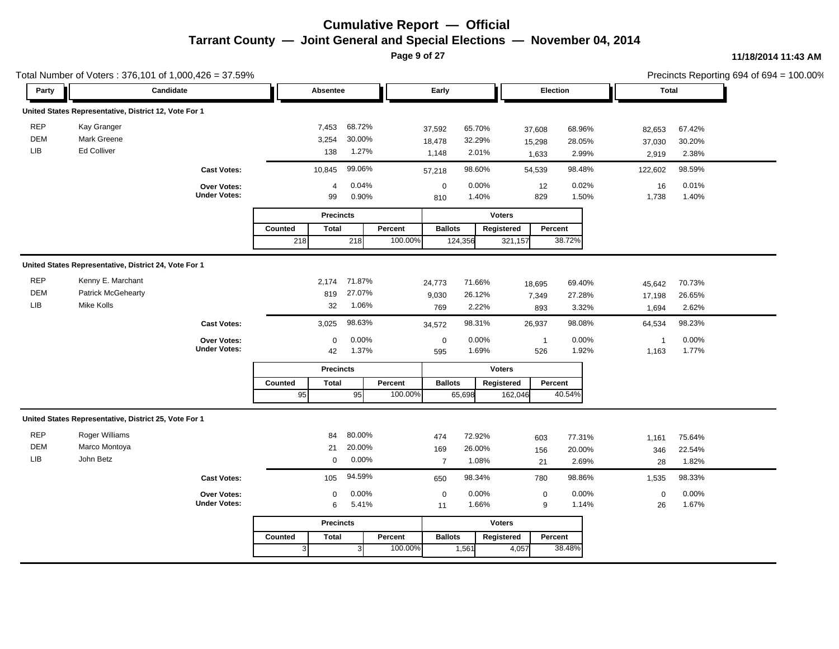**Page 9 of 27**

|             | Total Number of Voters: 376,101 of 1,000,426 = 37.59% |                     |                         |         |         |                         |               |                         |                |              | Precincts Reporting 694 of 694 = 100.00% |
|-------------|-------------------------------------------------------|---------------------|-------------------------|---------|---------|-------------------------|---------------|-------------------------|----------------|--------------|------------------------------------------|
| Party       | Candidate                                             |                     | Absentee                |         | Early   |                         |               | Election                |                | <b>Total</b> |                                          |
|             | United States Representative, District 12, Vote For 1 |                     |                         |         |         |                         |               |                         |                |              |                                          |
| <b>REP</b>  | Kay Granger                                           |                     | 7,453                   | 68.72%  | 37,592  | 65.70%                  | 37,608        | 68.96%                  | 82,653         | 67.42%       |                                          |
| <b>DEM</b>  | Mark Greene                                           |                     | 3,254                   | 30.00%  | 18,478  | 32.29%                  | 15,298        | 28.05%                  | 37,030         | 30.20%       |                                          |
| ${\sf LIB}$ | Ed Colliver                                           |                     | 138                     | 1.27%   | 1,148   | 2.01%                   | 1,633         | 2.99%                   | 2,919          | 2.38%        |                                          |
|             |                                                       | <b>Cast Votes:</b>  | 10,845                  | 99.06%  | 57,218  | 98.60%                  | 54,539        | 98.48%                  | 122,602        | 98.59%       |                                          |
|             |                                                       | Over Votes:         | $\overline{4}$          | 0.04%   |         | 0.00%<br>$\mathbf 0$    |               | 0.02%<br>12             | 16             | 0.01%        |                                          |
|             |                                                       | <b>Under Votes:</b> | 99                      | 0.90%   | 810     | 1.40%                   |               | 1.50%<br>829            | 1,738          | 1.40%        |                                          |
|             |                                                       |                     | <b>Precincts</b>        |         |         |                         | <b>Voters</b> |                         |                |              |                                          |
|             |                                                       |                     | Counted<br><b>Total</b> |         | Percent | <b>Ballots</b>          | Registered    | Percent                 |                |              |                                          |
|             |                                                       |                     | 218                     | 218     | 100.00% | 124,356                 | 321,157       | 38.72%                  |                |              |                                          |
|             | United States Representative, District 24, Vote For 1 |                     |                         |         |         |                         |               |                         |                |              |                                          |
| <b>REP</b>  | Kenny E. Marchant                                     |                     | 2,174                   | 71.87%  | 24,773  | 71.66%                  | 18,695        | 69.40%                  | 45,642         | 70.73%       |                                          |
| DEM         | <b>Patrick McGehearty</b>                             |                     | 819                     | 27.07%  | 9,030   | 26.12%                  | 7,349         | 27.28%                  | 17,198         | 26.65%       |                                          |
| LIB         | <b>Mike Kolls</b>                                     |                     | 32                      | 1.06%   | 769     | 2.22%                   | 893           | 3.32%                   | 1,694          | 2.62%        |                                          |
|             |                                                       | <b>Cast Votes:</b>  | 3,025                   | 98.63%  | 34,572  | 98.31%                  | 26,937        | 98.08%                  | 64,534         | 98.23%       |                                          |
|             |                                                       | Over Votes:         | $\mathbf 0$             | 0.00%   |         | $\pmb{0}$<br>0.00%      |               | 0.00%<br>$\overline{1}$ | $\overline{1}$ | 0.00%        |                                          |
|             |                                                       | <b>Under Votes:</b> | 42                      | 1.37%   | 595     | 1.69%                   |               | 1.92%<br>526            | 1,163          | 1.77%        |                                          |
|             |                                                       |                     | <b>Precincts</b>        |         |         |                         | <b>Voters</b> |                         |                |              |                                          |
|             |                                                       |                     | <b>Total</b><br>Counted |         | Percent | <b>Ballots</b>          | Registered    | Percent                 |                |              |                                          |
|             |                                                       |                     | 95                      | 95      | 100.00% | 65,698                  | 162,046       | 40.54%                  |                |              |                                          |
|             | United States Representative, District 25, Vote For 1 |                     |                         |         |         |                         |               |                         |                |              |                                          |
| <b>REP</b>  | Roger Williams                                        |                     | 84                      | 80.00%  | 474     | 72.92%                  |               | 77.31%<br>603           | 1,161          | 75.64%       |                                          |
| DEM         | Marco Montoya                                         |                     | 21                      | 20.00%  | 169     | 26.00%                  | 156           | 20.00%                  | 346            | 22.54%       |                                          |
| LIB         | John Betz                                             |                     | 0                       | 0.00%   |         | 1.08%<br>$\overline{7}$ |               | 2.69%<br>21             | 28             | 1.82%        |                                          |
|             |                                                       | <b>Cast Votes:</b>  | 105                     | 94.59%  | 650     | 98.34%                  |               | 98.86%<br>780           | 1,535          | 98.33%       |                                          |
|             |                                                       | Over Votes:         | 0                       | 0.00%   |         | 0.00%<br>$\pmb{0}$      |               | 0.00%<br>$\pmb{0}$      | $\mathsf 0$    | 0.00%        |                                          |
|             |                                                       | <b>Under Votes:</b> | $\,6$                   | 5.41%   | 11      | 1.66%                   |               | 1.14%<br>9              | 26             | 1.67%        |                                          |
|             |                                                       |                     | <b>Precincts</b>        |         |         |                         | <b>Voters</b> |                         |                |              |                                          |
|             |                                                       |                     | <b>Total</b><br>Counted |         | Percent | <b>Ballots</b>          | Registered    | Percent                 |                |              |                                          |
|             |                                                       |                     | 3                       | 100.00% | 1,561   | 4,057                   | 38.48%        |                         |                |              |                                          |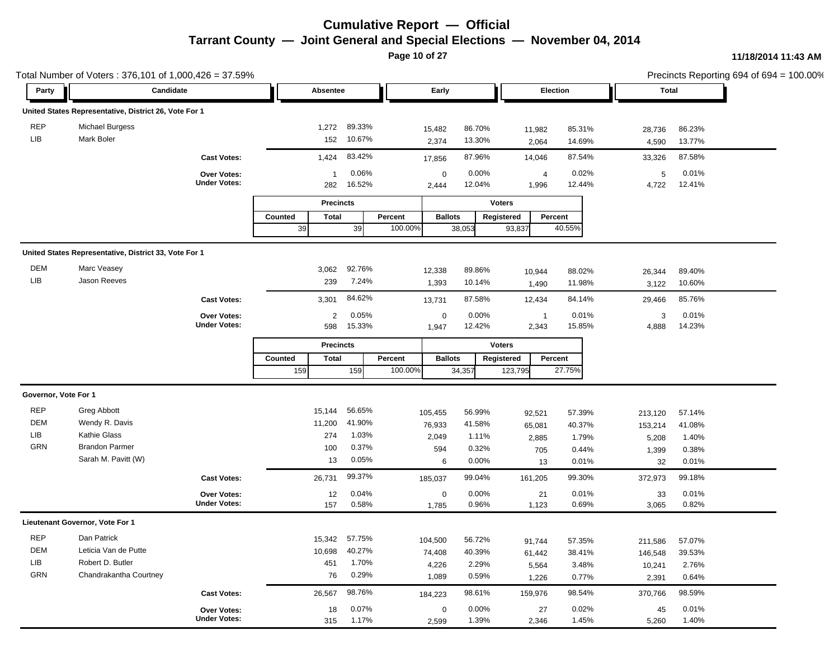**Page 10 of 27**

|                      | Total Number of Voters: 376,101 of 1,000,426 = 37.59% |                     |                         |               |             |                |                       |        |              |        | Precincts Reporting 694 of 694 = 100.00% |
|----------------------|-------------------------------------------------------|---------------------|-------------------------|---------------|-------------|----------------|-----------------------|--------|--------------|--------|------------------------------------------|
| Party                | Candidate                                             |                     | <b>Absentee</b>         |               | Early       |                | Election              |        | <b>Total</b> |        |                                          |
|                      | United States Representative, District 26, Vote For 1 |                     |                         |               |             |                |                       |        |              |        |                                          |
| <b>REP</b>           | <b>Michael Burgess</b>                                |                     | 1,272                   | 89.33%        | 15,482      | 86.70%         | 11,982                | 85.31% | 28,736       | 86.23% |                                          |
| LIB                  | Mark Boler                                            |                     | 152                     | 10.67%        | 2,374       | 13.30%         | 2,064                 | 14.69% | 4,590        | 13.77% |                                          |
|                      |                                                       | <b>Cast Votes:</b>  | 1,424                   | 83.42%        | 17,856      | 87.96%         | 14,046                | 87.54% | 33,326       | 87.58% |                                          |
|                      |                                                       | Over Votes:         | 1                       | 0.06%         | $\mathbf 0$ | 0.00%          | $\overline{4}$        | 0.02%  | 5            | 0.01%  |                                          |
|                      |                                                       | <b>Under Votes:</b> | 282                     | 16.52%        | 2,444       | 12.04%         | 1,996                 | 12.44% | 4,722        | 12.41% |                                          |
|                      |                                                       |                     | <b>Precincts</b>        |               |             |                | <b>Voters</b>         |        |              |        |                                          |
|                      |                                                       |                     | Counted<br>Total        |               | Percent     | <b>Ballots</b> | Registered<br>Percent |        |              |        |                                          |
|                      |                                                       |                     | 39                      | 39            | 100.00%     | 38,053         | 93,837                | 40.55% |              |        |                                          |
|                      |                                                       |                     |                         |               |             |                |                       |        |              |        |                                          |
|                      | United States Representative, District 33, Vote For 1 |                     |                         |               |             |                |                       |        |              |        |                                          |
| DEM                  | Marc Veasey                                           |                     | 3,062                   | 92.76%        | 12,338      | 89.86%         | 10,944                | 88.02% | 26,344       | 89.40% |                                          |
| LIB                  | Jason Reeves                                          |                     | 239                     | 7.24%         | 1,393       | 10.14%         | 1,490                 | 11.98% | 3,122        | 10.60% |                                          |
|                      |                                                       | <b>Cast Votes:</b>  | 3,301                   | 84.62%        | 13,731      | 87.58%         | 12,434                | 84.14% | 29,466       | 85.76% |                                          |
|                      |                                                       | Over Votes:         | $\overline{2}$          | 0.05%         | $\mathbf 0$ | 0.00%          | $\overline{1}$        | 0.01%  | 3            | 0.01%  |                                          |
|                      |                                                       | <b>Under Votes:</b> | 598                     | 15.33%        | 1,947       | 12.42%         | 2,343                 | 15.85% | 4,888        | 14.23% |                                          |
|                      |                                                       |                     | <b>Precincts</b>        |               |             |                | <b>Voters</b>         |        |              |        |                                          |
|                      |                                                       |                     | Counted<br><b>Total</b> |               | Percent     | <b>Ballots</b> | Percent<br>Registered |        |              |        |                                          |
|                      |                                                       |                     | 159                     | 159           | 100.00%     | 34,357         | 123,795               | 27.75% |              |        |                                          |
| Governor, Vote For 1 |                                                       |                     |                         |               |             |                |                       |        |              |        |                                          |
| <b>REP</b>           | <b>Greg Abbott</b>                                    |                     | 15,144                  | 56.65%        | 105,455     | 56.99%         | 92,521                | 57.39% | 213,120      | 57.14% |                                          |
| DEM                  | Wendy R. Davis                                        |                     | 11,200                  | 41.90%        | 76,933      | 41.58%         | 65,081                | 40.37% | 153,214      | 41.08% |                                          |
| LIB                  | <b>Kathie Glass</b>                                   |                     | 274                     | 1.03%         | 2,049       | 1.11%          | 2,885                 | 1.79%  | 5,208        | 1.40%  |                                          |
| <b>GRN</b>           | <b>Brandon Parmer</b>                                 |                     | 100                     | 0.37%         | 594         | 0.32%          | 705                   | 0.44%  | 1,399        | 0.38%  |                                          |
|                      | Sarah M. Pavitt (W)                                   |                     | 13                      | 0.05%         | 6           | 0.00%          | 13                    | 0.01%  | 32           | 0.01%  |                                          |
|                      |                                                       | <b>Cast Votes:</b>  | 26,731                  | 99.37%        | 185,037     | 99.04%         | 161,205               | 99.30% | 372,973      | 99.18% |                                          |
|                      |                                                       | Over Votes:         | 12                      | 0.04%         | $\mathbf 0$ | 0.00%          | 21                    | 0.01%  | 33           | 0.01%  |                                          |
|                      |                                                       | <b>Under Votes:</b> | 157                     | 0.58%         | 1,785       | 0.96%          | 1,123                 | 0.69%  | 3,065        | 0.82%  |                                          |
|                      | Lieutenant Governor, Vote For 1                       |                     |                         |               |             |                |                       |        |              |        |                                          |
| <b>REP</b>           | Dan Patrick                                           |                     |                         | 15,342 57.75% | 104,500     | 56.72%         | 91,744                | 57.35% | 211,586      | 57.07% |                                          |
| DEM                  | Leticia Van de Putte                                  |                     | 10,698                  | 40.27%        | 74,408      | 40.39%         | 61,442                | 38.41% | 146,548      | 39.53% |                                          |
| LIB                  | Robert D. Butler                                      |                     | 451                     | 1.70%         | 4,226       | 2.29%          | 5,564                 | 3.48%  | 10,241       | 2.76%  |                                          |
| <b>GRN</b>           | Chandrakantha Courtney                                |                     | 76                      | 0.29%         | 1,089       | 0.59%          | 1,226                 | 0.77%  | 2,391        | 0.64%  |                                          |
|                      |                                                       | <b>Cast Votes:</b>  | 26,567                  | 98.76%        | 184,223     | 98.61%         | 159,976               | 98.54% | 370,766      | 98.59% |                                          |
|                      |                                                       | Over Votes:         | 18                      | 0.07%         | $\mathbf 0$ | 0.00%          | 27                    | 0.02%  | 45           | 0.01%  |                                          |
|                      |                                                       | <b>Under Votes:</b> | 315                     | 1.17%         | 2,599       | 1.39%          | 2,346                 | 1.45%  | 5,260        | 1.40%  |                                          |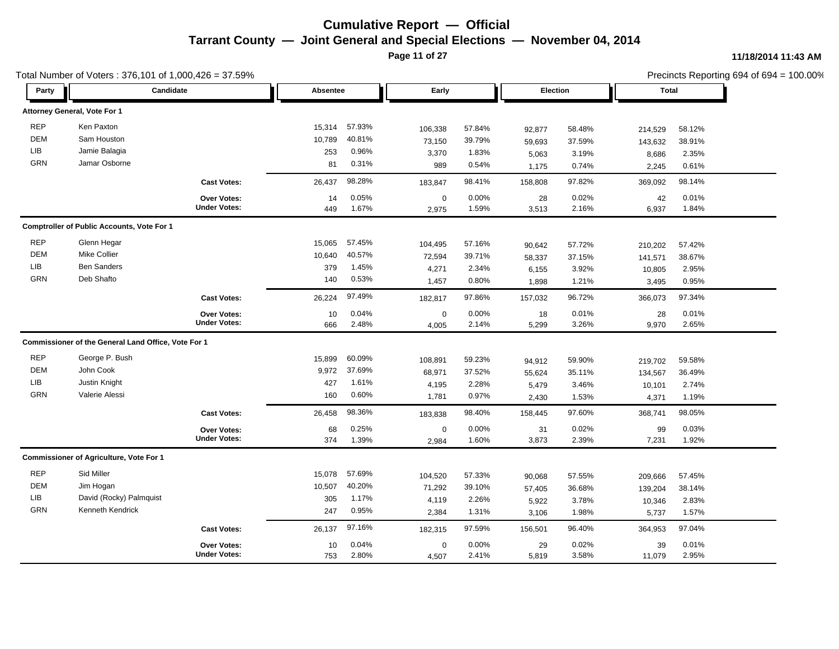**Page 11 of 27**

|             | Total Number of Voters: 376,101 of 1,000,426 = 37.59% |                     |                 |        |             |        |                 |        |              |        | Precincts Reporting 694 of 694 = 100.00% |
|-------------|-------------------------------------------------------|---------------------|-----------------|--------|-------------|--------|-----------------|--------|--------------|--------|------------------------------------------|
| Party       | Candidate                                             |                     | <b>Absentee</b> |        | Early       |        | <b>Election</b> |        | <b>Total</b> |        |                                          |
|             | Attorney General, Vote For 1                          |                     |                 |        |             |        |                 |        |              |        |                                          |
| <b>REP</b>  | Ken Paxton                                            |                     | 15,314          | 57.93% | 106,338     | 57.84% | 92,877          | 58.48% | 214,529      | 58.12% |                                          |
| <b>DEM</b>  | Sam Houston                                           |                     | 10,789          | 40.81% | 73,150      | 39.79% | 59,693          | 37.59% | 143,632      | 38.91% |                                          |
| LIB         | Jamie Balagia                                         |                     | 253             | 0.96%  | 3,370       | 1.83%  | 5,063           | 3.19%  | 8,686        | 2.35%  |                                          |
| <b>GRN</b>  | Jamar Osborne                                         |                     | 81              | 0.31%  | 989         | 0.54%  | 1,175           | 0.74%  | 2,245        | 0.61%  |                                          |
|             |                                                       | <b>Cast Votes:</b>  | 26,437          | 98.28% | 183,847     | 98.41% | 158,808         | 97.82% | 369,092      | 98.14% |                                          |
|             |                                                       | Over Votes:         | 14              | 0.05%  | $\mathsf 0$ | 0.00%  | 28              | 0.02%  | 42           | 0.01%  |                                          |
|             |                                                       | <b>Under Votes:</b> | 449             | 1.67%  | 2,975       | 1.59%  | 3,513           | 2.16%  | 6,937        | 1.84%  |                                          |
|             | <b>Comptroller of Public Accounts, Vote For 1</b>     |                     |                 |        |             |        |                 |        |              |        |                                          |
| <b>REP</b>  | Glenn Hegar                                           |                     | 15,065          | 57.45% | 104,495     | 57.16% | 90,642          | 57.72% | 210,202      | 57.42% |                                          |
| <b>DEM</b>  | Mike Collier                                          |                     | 10,640          | 40.57% | 72,594      | 39.71% | 58,337          | 37.15% | 141,571      | 38.67% |                                          |
| LIB         | <b>Ben Sanders</b>                                    |                     | 379             | 1.45%  | 4,271       | 2.34%  | 6,155           | 3.92%  | 10,805       | 2.95%  |                                          |
| <b>GRN</b>  | Deb Shafto                                            |                     | 140             | 0.53%  | 1,457       | 0.80%  | 1,898           | 1.21%  | 3,495        | 0.95%  |                                          |
|             |                                                       | <b>Cast Votes:</b>  | 26,224          | 97.49% | 182,817     | 97.86% | 157,032         | 96.72% | 366,073      | 97.34% |                                          |
|             |                                                       | Over Votes:         | 10              | 0.04%  | $\mathsf 0$ | 0.00%  | 18              | 0.01%  | 28           | 0.01%  |                                          |
|             |                                                       | <b>Under Votes:</b> | 666             | 2.48%  | 4,005       | 2.14%  | 5,299           | 3.26%  | 9,970        | 2.65%  |                                          |
|             | Commissioner of the General Land Office, Vote For 1   |                     |                 |        |             |        |                 |        |              |        |                                          |
| <b>REP</b>  | George P. Bush                                        |                     | 15,899          | 60.09% | 108,891     | 59.23% | 94,912          | 59.90% | 219,702      | 59.58% |                                          |
| <b>DEM</b>  | John Cook                                             |                     | 9,972           | 37.69% | 68,971      | 37.52% | 55,624          | 35.11% | 134,567      | 36.49% |                                          |
| ${\sf LIB}$ | Justin Knight                                         |                     | 427             | 1.61%  | 4,195       | 2.28%  | 5,479           | 3.46%  | 10,101       | 2.74%  |                                          |
| <b>GRN</b>  | Valerie Alessi                                        |                     | 160             | 0.60%  | 1,781       | 0.97%  | 2,430           | 1.53%  | 4,371        | 1.19%  |                                          |
|             |                                                       | <b>Cast Votes:</b>  | 26,458          | 98.36% | 183,838     | 98.40% | 158,445         | 97.60% | 368,741      | 98.05% |                                          |
|             |                                                       | Over Votes:         | 68              | 0.25%  | $\mathbf 0$ | 0.00%  | 31              | 0.02%  | 99           | 0.03%  |                                          |
|             |                                                       | <b>Under Votes:</b> | 374             | 1.39%  | 2,984       | 1.60%  | 3,873           | 2.39%  | 7,231        | 1.92%  |                                          |
|             | <b>Commissioner of Agriculture, Vote For 1</b>        |                     |                 |        |             |        |                 |        |              |        |                                          |
| <b>REP</b>  | Sid Miller                                            |                     | 15,078          | 57.69% | 104,520     | 57.33% | 90,068          | 57.55% | 209,666      | 57.45% |                                          |
| <b>DEM</b>  | Jim Hogan                                             |                     | 10,507          | 40.20% | 71,292      | 39.10% | 57,405          | 36.68% | 139,204      | 38.14% |                                          |
| LIB         | David (Rocky) Palmquist                               |                     | 305             | 1.17%  | 4,119       | 2.26%  | 5,922           | 3.78%  | 10,346       | 2.83%  |                                          |
| <b>GRN</b>  | Kenneth Kendrick                                      |                     | 247             | 0.95%  | 2,384       | 1.31%  | 3,106           | 1.98%  | 5,737        | 1.57%  |                                          |
|             |                                                       | <b>Cast Votes:</b>  | 26,137          | 97.16% | 182,315     | 97.59% | 156,501         | 96.40% | 364,953      | 97.04% |                                          |
|             |                                                       | <b>Over Votes:</b>  | 10              | 0.04%  | $\mathbf 0$ | 0.00%  | 29              | 0.02%  | 39           | 0.01%  |                                          |
|             |                                                       | <b>Under Votes:</b> | 753             | 2.80%  | 4.507       | 2.41%  | 5,819           | 3.58%  | 11,079       | 2.95%  |                                          |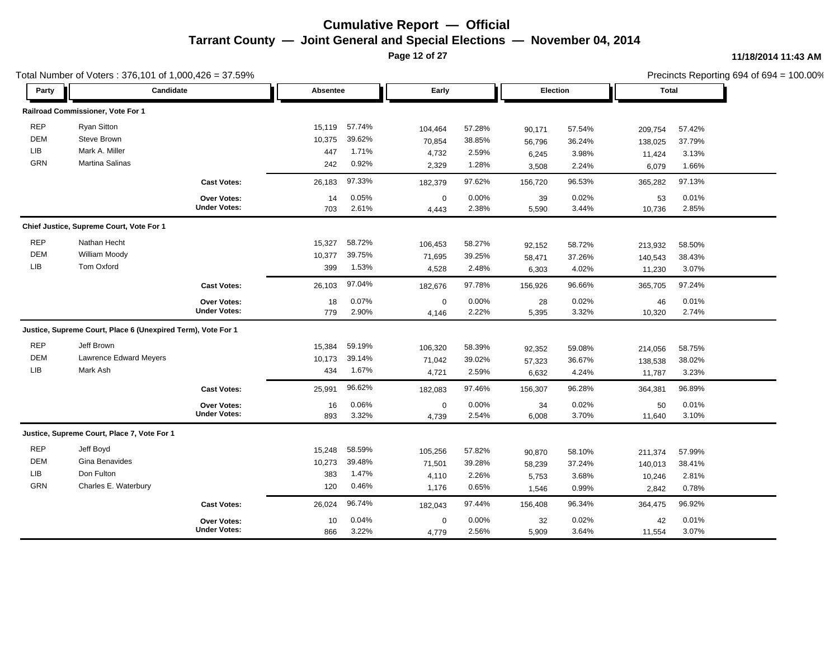**Page 12 of 27**

|            | Total Number of Voters: 376,101 of 1,000,426 = 37.59%        |                     |          |        |             |        |          |        |         |        | Precincts Reporting 694 of 694 = 100.00% |
|------------|--------------------------------------------------------------|---------------------|----------|--------|-------------|--------|----------|--------|---------|--------|------------------------------------------|
| Party      | Candidate                                                    |                     | Absentee |        | Early       |        | Election |        | Total   |        |                                          |
|            | Railroad Commissioner, Vote For 1                            |                     |          |        |             |        |          |        |         |        |                                          |
| <b>REP</b> | <b>Ryan Sitton</b>                                           |                     | 15,119   | 57.74% | 104,464     | 57.28% | 90,171   | 57.54% | 209,754 | 57.42% |                                          |
| <b>DEM</b> | Steve Brown                                                  |                     | 10,375   | 39.62% | 70,854      | 38.85% | 56,796   | 36.24% | 138,025 | 37.79% |                                          |
| LIB        | Mark A. Miller                                               |                     | 447      | 1.71%  | 4,732       | 2.59%  | 6,245    | 3.98%  | 11,424  | 3.13%  |                                          |
| GRN        | Martina Salinas                                              |                     | 242      | 0.92%  | 2,329       | 1.28%  | 3,508    | 2.24%  | 6,079   | 1.66%  |                                          |
|            |                                                              | <b>Cast Votes:</b>  | 26,183   | 97.33% | 182,379     | 97.62% | 156,720  | 96.53% | 365,282 | 97.13% |                                          |
|            |                                                              | <b>Over Votes:</b>  | 14       | 0.05%  | $\mathbf 0$ | 0.00%  | 39       | 0.02%  | 53      | 0.01%  |                                          |
|            |                                                              | <b>Under Votes:</b> | 703      | 2.61%  | 4,443       | 2.38%  | 5,590    | 3.44%  | 10,736  | 2.85%  |                                          |
|            | Chief Justice, Supreme Court, Vote For 1                     |                     |          |        |             |        |          |        |         |        |                                          |
| <b>REP</b> | Nathan Hecht                                                 |                     | 15,327   | 58.72% | 106,453     | 58.27% | 92,152   | 58.72% | 213,932 | 58.50% |                                          |
| <b>DEM</b> | William Moody                                                |                     | 10,377   | 39.75% | 71,695      | 39.25% | 58,471   | 37.26% | 140,543 | 38.43% |                                          |
| <b>LIB</b> | Tom Oxford                                                   |                     | 399      | 1.53%  | 4,528       | 2.48%  | 6,303    | 4.02%  | 11,230  | 3.07%  |                                          |
|            |                                                              | <b>Cast Votes:</b>  | 26,103   | 97.04% | 182,676     | 97.78% | 156,926  | 96.66% | 365,705 | 97.24% |                                          |
|            |                                                              | Over Votes:         | 18       | 0.07%  | $\mathbf 0$ | 0.00%  | 28       | 0.02%  | 46      | 0.01%  |                                          |
|            |                                                              | <b>Under Votes:</b> | 779      | 2.90%  | 4,146       | 2.22%  | 5,395    | 3.32%  | 10,320  | 2.74%  |                                          |
|            | Justice, Supreme Court, Place 6 (Unexpired Term), Vote For 1 |                     |          |        |             |        |          |        |         |        |                                          |
| <b>REP</b> | Jeff Brown                                                   |                     | 15,384   | 59.19% | 106,320     | 58.39% | 92,352   | 59.08% | 214,056 | 58.75% |                                          |
| <b>DEM</b> | <b>Lawrence Edward Meyers</b>                                |                     | 10,173   | 39.14% | 71,042      | 39.02% | 57,323   | 36.67% | 138,538 | 38.02% |                                          |
| <b>LIB</b> | Mark Ash                                                     |                     | 434      | 1.67%  | 4,721       | 2.59%  | 6,632    | 4.24%  | 11,787  | 3.23%  |                                          |
|            |                                                              | <b>Cast Votes:</b>  | 25,991   | 96.62% | 182,083     | 97.46% | 156,307  | 96.28% | 364,381 | 96.89% |                                          |
|            |                                                              | Over Votes:         | 16       | 0.06%  | $\mathbf 0$ | 0.00%  | 34       | 0.02%  | 50      | 0.01%  |                                          |
|            |                                                              | <b>Under Votes:</b> | 893      | 3.32%  | 4,739       | 2.54%  | 6,008    | 3.70%  | 11,640  | 3.10%  |                                          |
|            | Justice, Supreme Court, Place 7, Vote For 1                  |                     |          |        |             |        |          |        |         |        |                                          |
| <b>REP</b> | Jeff Boyd                                                    |                     | 15,248   | 58.59% | 105,256     | 57.82% | 90,870   | 58.10% | 211,374 | 57.99% |                                          |
| <b>DEM</b> | Gina Benavides                                               |                     | 10,273   | 39.48% | 71,501      | 39.28% | 58,239   | 37.24% | 140,013 | 38.41% |                                          |
| <b>LIB</b> | Don Fulton                                                   |                     | 383      | 1.47%  | 4,110       | 2.26%  | 5,753    | 3.68%  | 10,246  | 2.81%  |                                          |
| GRN        | Charles E. Waterbury                                         |                     | 120      | 0.46%  | 1,176       | 0.65%  | 1,546    | 0.99%  | 2,842   | 0.78%  |                                          |
|            |                                                              | <b>Cast Votes:</b>  | 26,024   | 96.74% | 182,043     | 97.44% | 156,408  | 96.34% | 364,475 | 96.92% |                                          |
|            |                                                              | Over Votes:         | 10       | 0.04%  | $\mathbf 0$ | 0.00%  | 32       | 0.02%  | 42      | 0.01%  |                                          |
|            |                                                              | <b>Under Votes:</b> | 866      | 3.22%  | 4,779       | 2.56%  | 5,909    | 3.64%  | 11,554  | 3.07%  |                                          |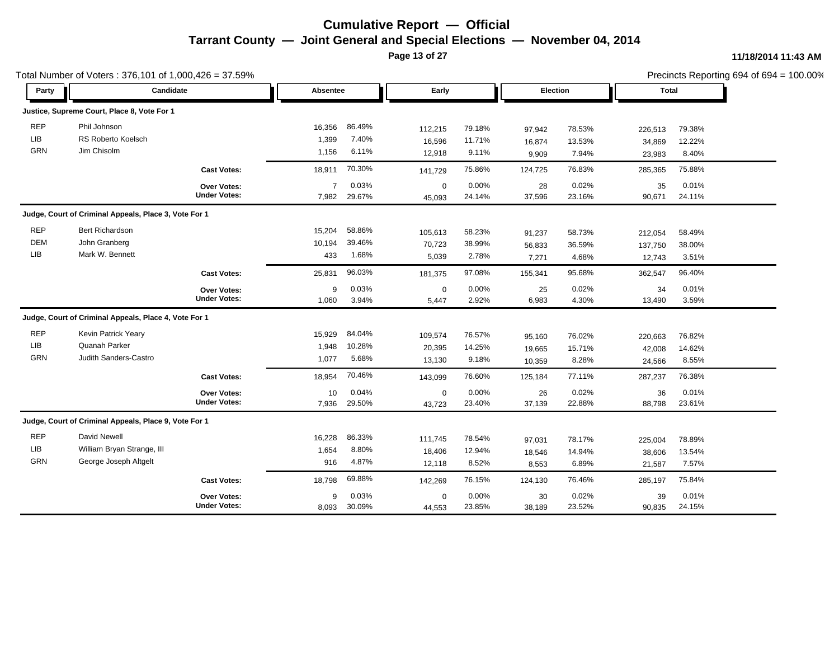**Page 13 of 27**

|            | Total Number of Voters: 376,101 of 1,000,426 = 37.59% |                     |                |        |             |        |          |        |              |        | Precincts Reporting 694 of 694 = 100.00% |
|------------|-------------------------------------------------------|---------------------|----------------|--------|-------------|--------|----------|--------|--------------|--------|------------------------------------------|
| Party      | Candidate                                             |                     | Absentee       |        | Early       |        | Election |        | <b>Total</b> |        |                                          |
|            | Justice, Supreme Court, Place 8, Vote For 1           |                     |                |        |             |        |          |        |              |        |                                          |
| <b>REP</b> | Phil Johnson                                          |                     | 16,356         | 86.49% | 112,215     | 79.18% | 97,942   | 78.53% | 226,513      | 79.38% |                                          |
| <b>LIB</b> | <b>RS Roberto Koelsch</b>                             |                     | 1,399          | 7.40%  | 16,596      | 11.71% | 16,874   | 13.53% | 34,869       | 12.22% |                                          |
| <b>GRN</b> | Jim Chisolm                                           |                     | 1,156          | 6.11%  | 12,918      | 9.11%  | 9,909    | 7.94%  | 23,983       | 8.40%  |                                          |
|            |                                                       | <b>Cast Votes:</b>  | 18,911         | 70.30% | 141,729     | 75.86% | 124,725  | 76.83% | 285,365      | 75.88% |                                          |
|            |                                                       | Over Votes:         | $\overline{7}$ | 0.03%  | $\mathbf 0$ | 0.00%  | 28       | 0.02%  | 35           | 0.01%  |                                          |
|            |                                                       | <b>Under Votes:</b> | 7,982          | 29.67% | 45,093      | 24.14% | 37,596   | 23.16% | 90,671       | 24.11% |                                          |
|            | Judge, Court of Criminal Appeals, Place 3, Vote For 1 |                     |                |        |             |        |          |        |              |        |                                          |
| <b>REP</b> | <b>Bert Richardson</b>                                |                     | 15,204         | 58.86% | 105,613     | 58.23% | 91,237   | 58.73% | 212,054      | 58.49% |                                          |
| <b>DEM</b> | John Granberg                                         |                     | 10,194         | 39.46% | 70,723      | 38.99% | 56,833   | 36.59% | 137,750      | 38.00% |                                          |
| <b>LIB</b> | Mark W. Bennett                                       |                     | 433            | 1.68%  | 5,039       | 2.78%  | 7,271    | 4.68%  | 12,743       | 3.51%  |                                          |
|            |                                                       | <b>Cast Votes:</b>  | 25,831         | 96.03% | 181,375     | 97.08% | 155,341  | 95.68% | 362,547      | 96.40% |                                          |
|            |                                                       | Over Votes:         | 9              | 0.03%  | $\mathbf 0$ | 0.00%  | 25       | 0.02%  | 34           | 0.01%  |                                          |
|            |                                                       | <b>Under Votes:</b> | 1,060          | 3.94%  | 5,447       | 2.92%  | 6,983    | 4.30%  | 13,490       | 3.59%  |                                          |
|            | Judge, Court of Criminal Appeals, Place 4, Vote For 1 |                     |                |        |             |        |          |        |              |        |                                          |
| <b>REP</b> | Kevin Patrick Yeary                                   |                     | 15,929         | 84.04% | 109,574     | 76.57% | 95,160   | 76.02% | 220,663      | 76.82% |                                          |
| LIB        | Quanah Parker                                         |                     | 1,948          | 10.28% | 20,395      | 14.25% | 19,665   | 15.71% | 42,008       | 14.62% |                                          |
| <b>GRN</b> | Judith Sanders-Castro                                 |                     | 1,077          | 5.68%  | 13,130      | 9.18%  | 10,359   | 8.28%  | 24,566       | 8.55%  |                                          |
|            |                                                       | <b>Cast Votes:</b>  | 18,954         | 70.46% | 143,099     | 76.60% | 125,184  | 77.11% | 287,237      | 76.38% |                                          |
|            |                                                       | Over Votes:         | 10             | 0.04%  | $\mathbf 0$ | 0.00%  | 26       | 0.02%  | 36           | 0.01%  |                                          |
|            |                                                       | <b>Under Votes:</b> | 7,936          | 29.50% | 43,723      | 23.40% | 37,139   | 22.88% | 88,798       | 23.61% |                                          |
|            | Judge, Court of Criminal Appeals, Place 9, Vote For 1 |                     |                |        |             |        |          |        |              |        |                                          |
| <b>REP</b> | David Newell                                          |                     | 16,228         | 86.33% | 111,745     | 78.54% | 97,031   | 78.17% | 225,004      | 78.89% |                                          |
| <b>LIB</b> | William Bryan Strange, III                            |                     | 1,654          | 8.80%  | 18,406      | 12.94% | 18,546   | 14.94% | 38,606       | 13.54% |                                          |
| GRN        | George Joseph Altgelt                                 |                     | 916            | 4.87%  | 12,118      | 8.52%  | 8,553    | 6.89%  | 21,587       | 7.57%  |                                          |
|            |                                                       | <b>Cast Votes:</b>  | 18,798         | 69.88% | 142,269     | 76.15% | 124,130  | 76.46% | 285,197      | 75.84% |                                          |
|            |                                                       | <b>Over Votes:</b>  | 9              | 0.03%  | 0           | 0.00%  | 30       | 0.02%  | 39           | 0.01%  |                                          |
|            |                                                       | <b>Under Votes:</b> | 8,093          | 30.09% | 44,553      | 23.85% | 38,189   | 23.52% | 90,835       | 24.15% |                                          |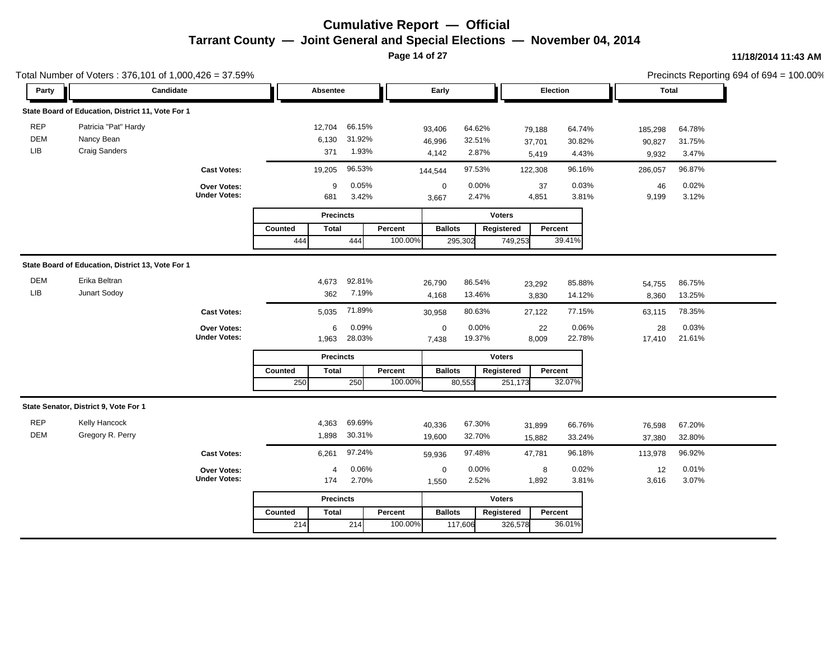**Page 14 of 27**

|            | Total Number of Voters: 376,101 of 1,000,426 = 37.59% |                     |                         |                |                       |                       |        |              |        | Precincts Reporting 694 of 694 = 100.00% |
|------------|-------------------------------------------------------|---------------------|-------------------------|----------------|-----------------------|-----------------------|--------|--------------|--------|------------------------------------------|
| Party      | Candidate                                             |                     | Absentee                |                | Early                 | Election              |        | <b>Total</b> |        |                                          |
|            | State Board of Education, District 11, Vote For 1     |                     |                         |                |                       |                       |        |              |        |                                          |
| <b>REP</b> | Patricia "Pat" Hardy                                  |                     | 12,704                  | 66.15%         | 93,406<br>64.62%      | 79,188                | 64.74% | 185,298      | 64.78% |                                          |
| DEM        | Nancy Bean                                            |                     | 6,130                   | 31.92%         | 32.51%<br>46,996      | 37,701                | 30.82% | 90,827       | 31.75% |                                          |
| LIB        | <b>Craig Sanders</b>                                  |                     | 371                     | 1.93%          | 2.87%<br>4,142        | 5,419                 | 4.43%  | 9,932        | 3.47%  |                                          |
|            |                                                       | <b>Cast Votes:</b>  | 19,205                  | 96.53%         | 97.53%<br>144,544     | 122,308               | 96.16% | 286,057      | 96.87% |                                          |
|            |                                                       | Over Votes:         | 9                       | 0.05%          | 0.00%<br>$\mathbf 0$  | 37                    | 0.03%  | 46           | 0.02%  |                                          |
|            |                                                       | <b>Under Votes:</b> | 681                     | 3.42%          | 2.47%<br>3,667        | 4,851                 | 3.81%  | 9,199        | 3.12%  |                                          |
|            |                                                       |                     | <b>Precincts</b>        |                |                       | <b>Voters</b>         |        |              |        |                                          |
|            |                                                       |                     | Counted<br><b>Total</b> | Percent        | <b>Ballots</b>        | Registered<br>Percent |        |              |        |                                          |
|            |                                                       |                     | 444<br>444              | 100.00%        | 295,302               | 39.41%<br>749,253     |        |              |        |                                          |
|            | State Board of Education, District 13, Vote For 1     |                     |                         |                |                       |                       |        |              |        |                                          |
| <b>DEM</b> | Erika Beltran                                         |                     | 4,673                   | 92.81%         | 86.54%<br>26,790      | 23,292                | 85.88% | 54,755       | 86.75% |                                          |
| LIB        | Junart Sodoy                                          |                     | 362                     | 7.19%          | 13.46%<br>4,168       | 3,830                 | 14.12% | 8,360        | 13.25% |                                          |
|            |                                                       | <b>Cast Votes:</b>  | 5,035                   | 71.89%         | 80.63%<br>30,958      | 27,122                | 77.15% | 63,115       | 78.35% |                                          |
|            |                                                       | Over Votes:         | 6                       | 0.09%          | 0.00%<br>$\mathbf 0$  | 22                    | 0.06%  | 28           | 0.03%  |                                          |
|            |                                                       | <b>Under Votes:</b> | 1,963                   | 28.03%         | 19.37%<br>7,438       | 8,009                 | 22.78% | 17,410       | 21.61% |                                          |
|            |                                                       |                     | <b>Precincts</b>        |                |                       | <b>Voters</b>         |        |              |        |                                          |
|            |                                                       |                     | Counted<br><b>Total</b> | Percent        | <b>Ballots</b>        | Percent<br>Registered |        |              |        |                                          |
|            |                                                       |                     | 250<br>250              | 100.00%        | 80,553                | 32.07%<br>251,173     |        |              |        |                                          |
|            | State Senator, District 9, Vote For 1                 |                     |                         |                |                       |                       |        |              |        |                                          |
| <b>REP</b> | Kelly Hancock                                         |                     | 4,363                   | 69.69%         | 67.30%<br>40,336      | 31,899                | 66.76% | 76,598       | 67.20% |                                          |
| <b>DEM</b> | Gregory R. Perry                                      |                     | 1,898                   | 30.31%         | 32.70%<br>19,600      | 15,882                | 33.24% | 37,380       | 32.80% |                                          |
|            |                                                       | <b>Cast Votes:</b>  | 6,261                   | 97.24%         | 97.48%<br>59,936      | 47,781                | 96.18% | 113,978      | 96.92% |                                          |
|            |                                                       | Over Votes:         | 4                       | 0.06%          | 0.00%<br>$\mathbf 0$  | 8                     | 0.02%  | 12           | 0.01%  |                                          |
|            |                                                       | <b>Under Votes:</b> | 174                     | 2.70%          | 2.52%<br>1,550        | 1,892                 | 3.81%  | 3,616        | 3.07%  |                                          |
|            |                                                       |                     | <b>Precincts</b>        |                |                       | <b>Voters</b>         |        |              |        |                                          |
|            |                                                       | Counted<br>Total    | Percent                 | <b>Ballots</b> | Registered<br>Percent |                       |        |              |        |                                          |
|            |                                                       |                     | 214<br>214              | 100.00%        | 117,606               | 36.01%<br>326,578     |        |              |        |                                          |
|            |                                                       |                     |                         |                |                       |                       |        |              |        |                                          |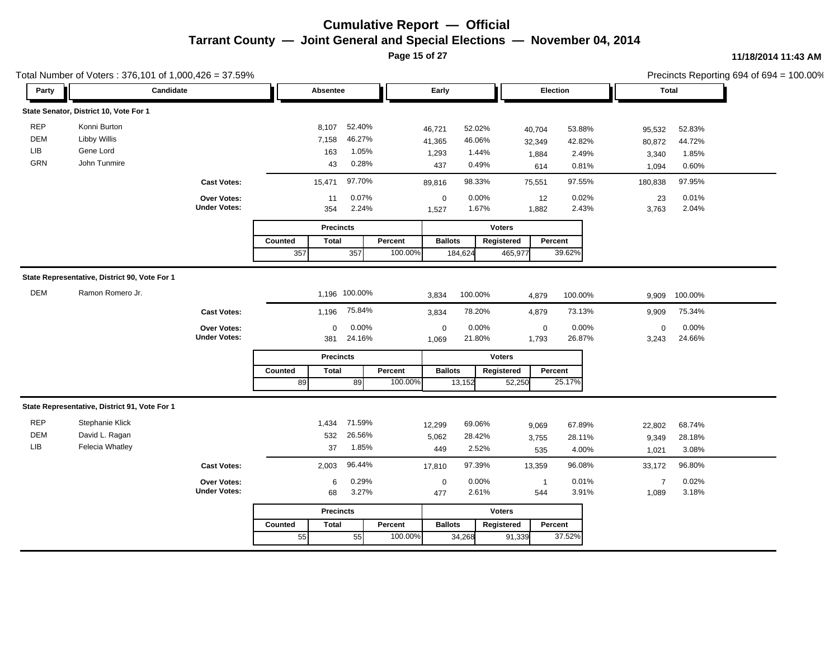**Page 15 of 27**

|            | Total Number of Voters: 376,101 of 1,000,426 = 37.59% |                     |         |                  |               |         |                |         |               |                |         |                | Precincts Reporting 694 of 694 = 100.00% |  |
|------------|-------------------------------------------------------|---------------------|---------|------------------|---------------|---------|----------------|---------|---------------|----------------|---------|----------------|------------------------------------------|--|
| Party      | Candidate                                             |                     |         | Absentee         |               |         | Early          |         |               | Election       |         |                | <b>Total</b>                             |  |
|            | State Senator, District 10, Vote For 1                |                     |         |                  |               |         |                |         |               |                |         |                |                                          |  |
| <b>REP</b> | Konni Burton                                          |                     |         | 8,107            | 52.40%        |         | 46,721         | 52.02%  |               | 40,704         | 53.88%  | 95,532         | 52.83%                                   |  |
| <b>DEM</b> | <b>Libby Willis</b>                                   |                     |         | 7,158            | 46.27%        |         | 41,365         | 46.06%  |               | 32,349         | 42.82%  | 80,872         | 44.72%                                   |  |
| LIB        | Gene Lord                                             |                     |         | 163              | 1.05%         |         | 1,293          | 1.44%   |               | 1,884          | 2.49%   | 3,340          | 1.85%                                    |  |
| GRN        | John Tunmire                                          |                     |         | 43               | 0.28%         |         | 437            | 0.49%   |               | 614            | 0.81%   | 1,094          | 0.60%                                    |  |
|            |                                                       | <b>Cast Votes:</b>  |         | 15,471           | 97.70%        |         | 89,816         | 98.33%  |               | 75,551         | 97.55%  | 180,838        | 97.95%                                   |  |
|            |                                                       | Over Votes:         |         | 11               | 0.07%         |         | $\mathbf 0$    | 0.00%   |               | 12             | 0.02%   | 23             | 0.01%                                    |  |
|            |                                                       | <b>Under Votes:</b> |         | 354              | 2.24%         |         | 1,527          | 1.67%   |               | 1,882          | 2.43%   | 3,763          | 2.04%                                    |  |
|            |                                                       |                     |         | <b>Precincts</b> |               |         |                |         | <b>Voters</b> |                |         |                |                                          |  |
|            |                                                       |                     | Counted | <b>Total</b>     |               | Percent | <b>Ballots</b> |         | Registered    | Percent        |         |                |                                          |  |
|            |                                                       |                     | 357     |                  | 357           | 100.00% |                | 184,624 | 465,977       |                | 39.62%  |                |                                          |  |
|            | State Representative, District 90, Vote For 1         |                     |         |                  |               |         |                |         |               |                |         |                |                                          |  |
| <b>DEM</b> | Ramon Romero Jr.                                      |                     |         |                  |               |         |                |         |               |                |         |                |                                          |  |
|            |                                                       |                     |         |                  | 1,196 100.00% |         | 3,834          | 100.00% |               | 4.879          | 100.00% | 9.909          | 100.00%                                  |  |
|            |                                                       | <b>Cast Votes:</b>  |         | 1,196            | 75.84%        |         | 3,834          | 78.20%  |               | 4,879          | 73.13%  | 9,909          | 75.34%                                   |  |
|            |                                                       | Over Votes:         |         | 0                | 0.00%         |         | $\mathbf 0$    | 0.00%   |               | $\mathbf 0$    | 0.00%   | $\mathbf 0$    | 0.00%                                    |  |
|            |                                                       | <b>Under Votes:</b> |         | 381              | 24.16%        |         | 1,069          | 21.80%  |               | 1,793          | 26.87%  | 3,243          | 24.66%                                   |  |
|            |                                                       |                     |         | <b>Precincts</b> |               |         |                |         | <b>Voters</b> |                |         |                |                                          |  |
|            |                                                       |                     | Counted | <b>Total</b>     |               | Percent | <b>Ballots</b> |         | Registered    | Percent        |         |                |                                          |  |
|            |                                                       |                     | 89      |                  | 89            | 100.00% |                | 13,152  | 52,250        |                | 25.17%  |                |                                          |  |
|            | State Representative, District 91, Vote For 1         |                     |         |                  |               |         |                |         |               |                |         |                |                                          |  |
| <b>REP</b> | Stephanie Klick                                       |                     |         | 1,434            | 71.59%        |         | 12,299         | 69.06%  |               | 9,069          | 67.89%  | 22,802         | 68.74%                                   |  |
| DEM        | David L. Ragan                                        |                     |         | 532              | 26.56%        |         | 5,062          | 28.42%  |               | 3,755          | 28.11%  | 9,349          | 28.18%                                   |  |
| LIB        | Felecia Whatley                                       |                     |         | 37               | 1.85%         |         | 449            | 2.52%   |               | 535            | 4.00%   | 1,021          | 3.08%                                    |  |
|            |                                                       | <b>Cast Votes:</b>  |         | 2,003            | 96.44%        |         | 17,810         | 97.39%  |               | 13,359         | 96.08%  | 33,172         | 96.80%                                   |  |
|            |                                                       | Over Votes:         |         | 6                | 0.29%         |         | $\mathbf 0$    | 0.00%   |               | $\overline{1}$ | 0.01%   | $\overline{7}$ | 0.02%                                    |  |
|            |                                                       | <b>Under Votes:</b> |         | 68               | 3.27%         |         | 477            | 2.61%   |               | 544            | 3.91%   | 1,089          | 3.18%                                    |  |
|            |                                                       |                     |         | <b>Precincts</b> |               |         |                |         | <b>Voters</b> |                |         |                |                                          |  |
|            |                                                       |                     | Counted | <b>Total</b>     |               | Percent | <b>Ballots</b> |         | Registered    | Percent        |         |                |                                          |  |
|            |                                                       |                     | 55      |                  | 55            | 100.00% |                | 34,268  | 91,339        |                | 37.52%  |                |                                          |  |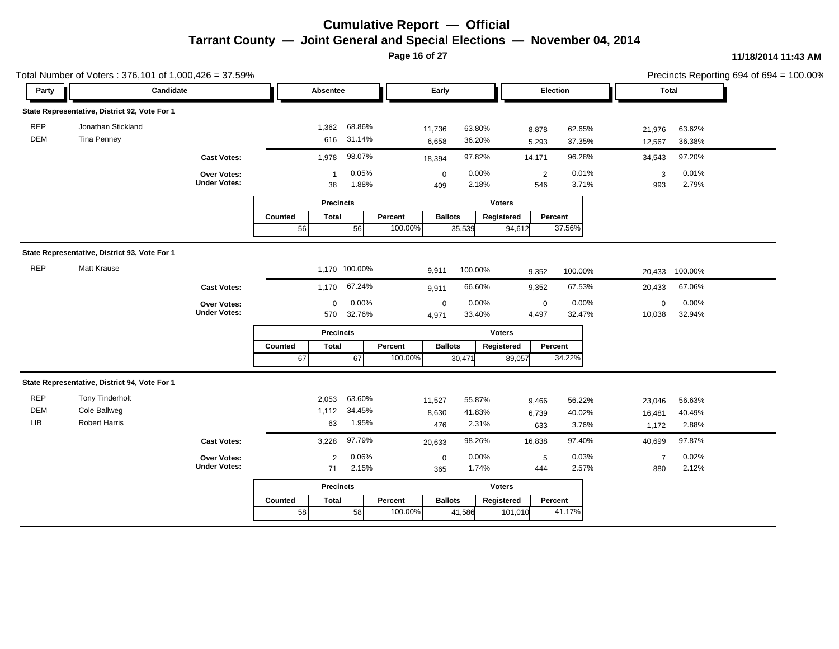**Page 16 of 27**

|                          | Total Number of Voters: 376,101 of 1,000,426 = 37.59% |                                    |         |                    |                  |         |                      |                  |                |                                         |                       | Precincts Reporting 694 of 694 = 100.00% |  |
|--------------------------|-------------------------------------------------------|------------------------------------|---------|--------------------|------------------|---------|----------------------|------------------|----------------|-----------------------------------------|-----------------------|------------------------------------------|--|
| Party                    | Candidate                                             |                                    |         | Absentee           |                  |         | Early                |                  |                | Election                                | Total                 |                                          |  |
|                          | State Representative, District 92, Vote For 1         |                                    |         |                    |                  |         |                      |                  |                |                                         |                       |                                          |  |
| <b>REP</b><br><b>DEM</b> | Jonathan Stickland<br>Tina Penney                     |                                    |         | 1,362<br>616       | 68.86%<br>31.14% |         | 11,736<br>6,658      | 63.80%<br>36.20% | 8,878<br>5,293 | 62.65%<br>37.35%                        | 21,976<br>12,567      | 63.62%<br>36.38%                         |  |
|                          |                                                       | <b>Cast Votes:</b>                 |         | 1,978              | 98.07%           |         | 18,394               | 97.82%           | 14,171         | 96.28%                                  | 34,543                | 97.20%                                   |  |
|                          |                                                       | Over Votes:<br><b>Under Votes:</b> |         | $\mathbf{1}$<br>38 | 0.05%<br>1.88%   |         | $\mathbf 0$<br>409   | 0.00%<br>2.18%   |                | 0.01%<br>$\overline{2}$<br>3.71%<br>546 | 3<br>993              | 0.01%<br>2.79%                           |  |
|                          |                                                       |                                    |         | <b>Precincts</b>   |                  |         |                      |                  | <b>Voters</b>  |                                         |                       |                                          |  |
|                          |                                                       |                                    | Counted | <b>Total</b>       |                  | Percent | <b>Ballots</b>       |                  | Registered     | Percent                                 |                       |                                          |  |
|                          |                                                       |                                    | 56      |                    | 56               | 100.00% |                      | 35,539           | 94,612         | 37.56%                                  |                       |                                          |  |
|                          | State Representative, District 93, Vote For 1         |                                    |         |                    |                  |         |                      |                  |                |                                         |                       |                                          |  |
| <b>REP</b>               | <b>Matt Krause</b>                                    |                                    |         | 1,170 100.00%      |                  |         | 9,911                | 100.00%          | 9,352          | 100.00%                                 | 20,433                | 100.00%                                  |  |
|                          |                                                       | <b>Cast Votes:</b>                 |         | 1,170              | 67.24%           |         | 9,911                | 66.60%           | 9,352          | 67.53%                                  | 20,433                | 67.06%                                   |  |
|                          |                                                       | Over Votes:<br><b>Under Votes:</b> |         | 0<br>570           | 0.00%<br>32.76%  |         | $\mathbf 0$<br>4,971 | 0.00%<br>33.40%  | 4,497          | $\mathbf 0$<br>0.00%<br>32.47%          | $\mathsf 0$<br>10,038 | 0.00%<br>32.94%                          |  |
|                          |                                                       |                                    |         | <b>Precincts</b>   |                  |         |                      |                  | <b>Voters</b>  |                                         |                       |                                          |  |
|                          |                                                       |                                    | Counted | <b>Total</b>       |                  | Percent | <b>Ballots</b>       |                  | Registered     | Percent                                 |                       |                                          |  |
|                          |                                                       |                                    | 67      |                    | 67               | 100.00% |                      | 30,471           | 89,057         | 34.22%                                  |                       |                                          |  |
|                          | State Representative, District 94, Vote For 1         |                                    |         |                    |                  |         |                      |                  |                |                                         |                       |                                          |  |
| <b>REP</b>               | <b>Tony Tinderholt</b>                                |                                    |         | 2,053              | 63.60%           |         | 11,527               | 55.87%           | 9,466          | 56.22%                                  | 23,046                | 56.63%                                   |  |
| DEM                      | Cole Ballweg                                          |                                    |         | 1,112              | 34.45%           |         | 8,630                | 41.83%           | 6,739          | 40.02%                                  | 16,481                | 40.49%                                   |  |
| LIB                      | <b>Robert Harris</b>                                  |                                    |         | 63                 | 1.95%            |         | 476                  | 2.31%            | 633            | 3.76%                                   | 1,172                 | 2.88%                                    |  |
|                          |                                                       | <b>Cast Votes:</b>                 |         | 3,228              | 97.79%           |         | 20,633               | 98.26%           | 16,838         | 97.40%                                  | 40,699                | 97.87%                                   |  |
|                          |                                                       | Over Votes:<br><b>Under Votes:</b> |         | 2                  | 0.06%<br>2.15%   |         | $\mathbf 0$          | 0.00%<br>1.74%   |                | 0.03%<br>$\sqrt{5}$<br>2.57%            | $\overline{7}$        | 0.02%<br>2.12%                           |  |
|                          |                                                       |                                    |         | 71                 |                  |         | 365                  |                  | 444            |                                         | 880                   |                                          |  |
|                          |                                                       |                                    |         | <b>Precincts</b>   |                  |         |                      |                  | <b>Voters</b>  |                                         |                       |                                          |  |
|                          |                                                       |                                    | Counted | Total              |                  | Percent | <b>Ballots</b>       |                  | Registered     | Percent                                 |                       |                                          |  |
|                          |                                                       |                                    | 58      |                    | 58               | 100.00% |                      | 41,586           | 101,010        | 41.17%                                  |                       |                                          |  |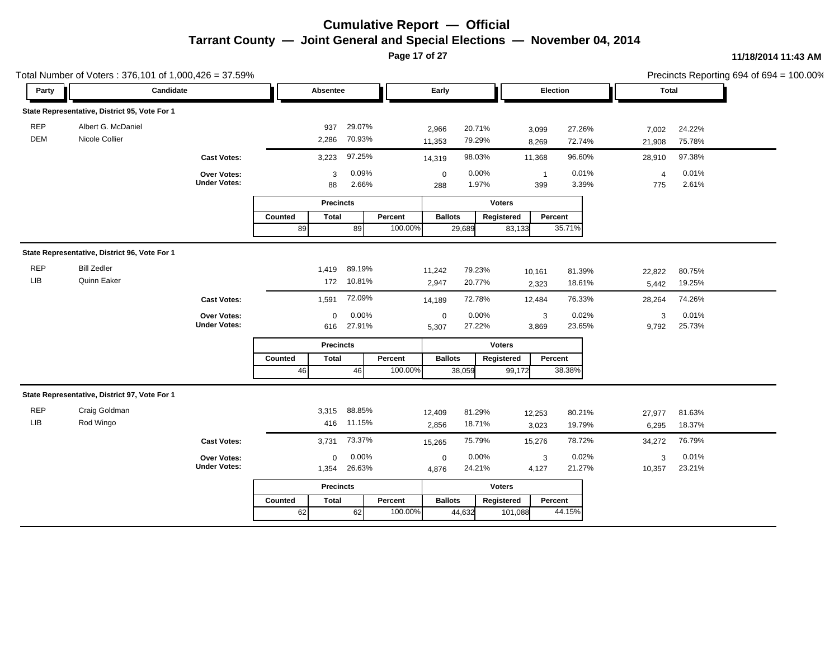**Page 17 of 27**

|                   | Total Number of Voters: 376,101 of 1,000,426 = 37.59% |                                    |                |                  |                  |         |                    |                  |               |                       |                  |                 | Precincts Reporting 694 of 694 = 100.00% |  |
|-------------------|-------------------------------------------------------|------------------------------------|----------------|------------------|------------------|---------|--------------------|------------------|---------------|-----------------------|------------------|-----------------|------------------------------------------|--|
| Party             | Candidate                                             |                                    |                | Absentee         |                  |         | Early              |                  |               | Election              |                  |                 | Total                                    |  |
|                   | State Representative, District 95, Vote For 1         |                                    |                |                  |                  |         |                    |                  |               |                       |                  |                 |                                          |  |
| <b>REP</b><br>DEM | Albert G. McDaniel<br>Nicole Collier                  |                                    |                | 937<br>2,286     | 29.07%<br>70.93% |         | 2,966<br>11,353    | 20.71%<br>79.29% |               | 3,099<br>8,269        | 27.26%<br>72.74% | 7,002<br>21,908 | 24.22%<br>75.78%                         |  |
|                   |                                                       | <b>Cast Votes:</b>                 |                | 3,223            | 97.25%           |         | 14,319             | 98.03%           |               | 11,368                | 96.60%           | 28,910          | 97.38%                                   |  |
|                   |                                                       | Over Votes:<br><b>Under Votes:</b> |                | 3<br>88          | 0.09%<br>2.66%   |         | $\mathbf 0$<br>288 | 0.00%<br>1.97%   |               | $\overline{1}$<br>399 | 0.01%<br>3.39%   | 4<br>775        | 0.01%<br>2.61%                           |  |
|                   |                                                       |                                    |                | <b>Precincts</b> |                  |         |                    |                  | <b>Voters</b> |                       |                  |                 |                                          |  |
|                   |                                                       |                                    | <b>Counted</b> | <b>Total</b>     |                  | Percent | <b>Ballots</b>     |                  | Registered    | Percent               |                  |                 |                                          |  |
|                   |                                                       |                                    | 89             |                  | 89               | 100.00% |                    | 29,689           | 83,133        |                       | 35.71%           |                 |                                          |  |
|                   | State Representative, District 96, Vote For 1         |                                    |                |                  |                  |         |                    |                  |               |                       |                  |                 |                                          |  |
| <b>REP</b>        | <b>Bill Zedler</b>                                    |                                    |                | 1,419            | 89.19%           |         | 11,242             | 79.23%           |               | 10,161                | 81.39%           | 22,822          | 80.75%                                   |  |
| LIB               | Quinn Eaker                                           |                                    |                | 172              | 10.81%           |         | 2,947              | 20.77%           |               | 2,323                 | 18.61%           | 5,442           | 19.25%                                   |  |
|                   |                                                       | <b>Cast Votes:</b>                 |                | 1,591            | 72.09%           |         | 14,189             | 72.78%           |               | 12,484                | 76.33%           | 28,264          | 74.26%                                   |  |
|                   |                                                       | Over Votes:                        |                | $\mathbf 0$      | 0.00%            |         | $\mathbf 0$        | 0.00%            |               | 3                     | 0.02%            | 3               | 0.01%                                    |  |
|                   |                                                       | <b>Under Votes:</b>                |                | 616              | 27.91%           |         | 5,307              | 27.22%           |               | 3,869                 | 23.65%           | 9,792           | 25.73%                                   |  |
|                   |                                                       |                                    |                | <b>Precincts</b> |                  |         |                    |                  | <b>Voters</b> |                       |                  |                 |                                          |  |
|                   |                                                       |                                    | Counted        | <b>Total</b>     |                  | Percent | <b>Ballots</b>     |                  | Registered    | Percent               |                  |                 |                                          |  |
|                   |                                                       |                                    | 46             |                  | 46               | 100.00% |                    | 38,059           | 99,172        |                       | 38.38%           |                 |                                          |  |
|                   | State Representative, District 97, Vote For 1         |                                    |                |                  |                  |         |                    |                  |               |                       |                  |                 |                                          |  |
| <b>REP</b>        | Craig Goldman                                         |                                    |                | 3,315            | 88.85%           |         | 12,409             | 81.29%           |               | 12,253                | 80.21%           | 27,977          | 81.63%                                   |  |
| LIB               | Rod Wingo                                             |                                    |                | 416              | 11.15%           |         | 2,856              | 18.71%           |               | 3,023                 | 19.79%           | 6,295           | 18.37%                                   |  |
|                   |                                                       | <b>Cast Votes:</b>                 |                | 3,731            | 73.37%           |         | 15,265             | 75.79%           |               | 15,276                | 78.72%           | 34,272          | 76.79%                                   |  |
|                   |                                                       | Over Votes:                        |                | $\Omega$         | 0.00%            |         | $\mathbf 0$        | 0.00%            |               | 3                     | 0.02%            | 3               | 0.01%                                    |  |
|                   |                                                       | <b>Under Votes:</b>                |                | 1,354            | 26.63%           |         | 4,876              | 24.21%           |               | 4,127                 | 21.27%           | 10,357          | 23.21%                                   |  |
|                   |                                                       |                                    |                | <b>Precincts</b> |                  |         |                    |                  | <b>Voters</b> |                       |                  |                 |                                          |  |
|                   |                                                       |                                    | Counted        | <b>Total</b>     |                  | Percent | <b>Ballots</b>     |                  | Registered    | Percent               |                  |                 |                                          |  |
|                   |                                                       |                                    | 62             |                  | 62               | 100.00% |                    | 44,632           | 101,088       |                       | 44.15%           |                 |                                          |  |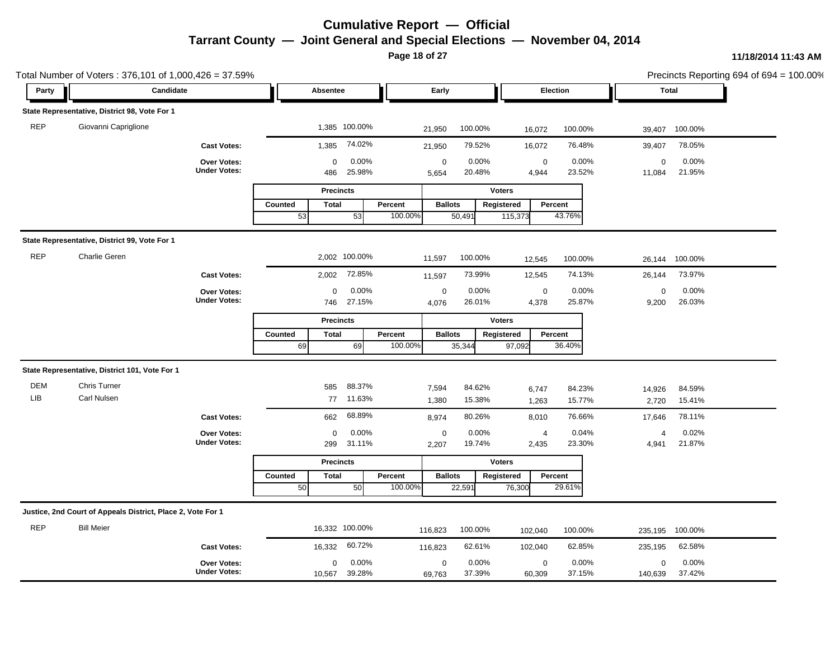**Page 18 of 27**

|                   | Total Number of Voters: 376,101 of 1,000,426 = 37.59%       |                                    |                               |                          |                                          |                                            |                                           | Precincts Reporting 694 of 694 = 100.00% |
|-------------------|-------------------------------------------------------------|------------------------------------|-------------------------------|--------------------------|------------------------------------------|--------------------------------------------|-------------------------------------------|------------------------------------------|
| Party             | Candidate                                                   |                                    | Absentee                      |                          | Early                                    | Election                                   | <b>Total</b>                              |                                          |
|                   | State Representative, District 98, Vote For 1               |                                    |                               |                          |                                          |                                            |                                           |                                          |
| <b>REP</b>        | Giovanni Capriglione                                        |                                    |                               | 1,385 100.00%            | 100.00%<br>21,950                        | 100.00%<br>16,072                          | 100.00%<br>39,407                         |                                          |
|                   |                                                             | <b>Cast Votes:</b>                 | 1,385                         | 74.02%                   | 79.52%<br>21,950                         | 76.48%<br>16,072                           | 78.05%<br>39,407                          |                                          |
|                   |                                                             | Over Votes:<br><b>Under Votes:</b> | 0<br>486                      | 0.00%<br>25.98%          | 0.00%<br>$\mathbf 0$<br>20.48%<br>5,654  | $\mathbf 0$<br>0.00%<br>23.52%<br>4,944    | 0.00%<br>$\mathbf 0$<br>21.95%<br>11,084  |                                          |
|                   |                                                             |                                    | <b>Precincts</b>              |                          |                                          | <b>Voters</b>                              |                                           |                                          |
|                   |                                                             |                                    | Counted<br><b>Total</b><br>53 | Percent<br>53<br>100.00% | <b>Ballots</b><br>50,491                 | Registered<br>Percent<br>43.76%<br>115,373 |                                           |                                          |
|                   | State Representative, District 99, Vote For 1               |                                    |                               |                          |                                          |                                            |                                           |                                          |
| <b>REP</b>        | Charlie Geren                                               |                                    |                               | 2,002 100.00%            | 100.00%<br>11,597                        | 100.00%<br>12,545                          | 100.00%<br>26,144                         |                                          |
|                   |                                                             | <b>Cast Votes:</b>                 | 2,002                         | 72.85%                   | 73.99%<br>11,597                         | 74.13%<br>12,545                           | 73.97%<br>26,144                          |                                          |
|                   |                                                             | Over Votes:<br><b>Under Votes:</b> | $\boldsymbol{0}$              | 0.00%<br>746 27.15%      | 0.00%<br>$\pmb{0}$<br>26.01%<br>4,076    | 0.00%<br>$\mathbf 0$<br>25.87%<br>4,378    | 0.00%<br>$\mathbf 0$<br>26.03%<br>9,200   |                                          |
|                   |                                                             |                                    | <b>Precincts</b>              |                          |                                          | <b>Voters</b>                              |                                           |                                          |
|                   |                                                             |                                    | <b>Total</b><br>Counted<br>69 | Percent<br>69<br>100.00% | <b>Ballots</b><br>35,344                 | Registered<br>Percent<br>36.40%<br>97,092  |                                           |                                          |
|                   | State Representative, District 101, Vote For 1              |                                    |                               |                          |                                          |                                            |                                           |                                          |
| <b>DEM</b><br>LIB | Chris Turner<br>Carl Nulsen                                 |                                    | 585                           | 88.37%<br>77 11.63%      | 84.62%<br>7,594<br>15.38%<br>1,380       | 84.23%<br>6,747<br>15.77%<br>1,263         | 84.59%<br>14,926<br>15.41%<br>2,720       |                                          |
|                   |                                                             | <b>Cast Votes:</b>                 | 662                           | 68.89%                   | 80.26%<br>8,974                          | 76.66%<br>8,010                            | 78.11%<br>17,646                          |                                          |
|                   |                                                             | Over Votes:<br><b>Under Votes:</b> | 0<br>299                      | 0.00%<br>31.11%          | $\mathbf 0$<br>0.00%<br>19.74%<br>2,207  | 0.04%<br>$\overline{4}$<br>23.30%<br>2,435 | 0.02%<br>4<br>21.87%<br>4,941             |                                          |
|                   |                                                             |                                    | <b>Precincts</b>              |                          |                                          | <b>Voters</b>                              |                                           |                                          |
|                   |                                                             |                                    | Counted<br><b>Total</b><br>50 | Percent<br>100.00%<br>50 | <b>Ballots</b><br>22,59'                 | Registered<br>Percent<br>29.61%<br>76,300  |                                           |                                          |
|                   | Justice, 2nd Court of Appeals District, Place 2, Vote For 1 |                                    |                               |                          |                                          |                                            |                                           |                                          |
| <b>REP</b>        | <b>Bill Meier</b>                                           |                                    | 16,332 100.00%                |                          | 100.00%<br>116,823                       | 100.00%<br>102,040                         | 100.00%<br>235,195                        |                                          |
|                   |                                                             | <b>Cast Votes:</b>                 | 16,332                        | 60.72%                   | 62.61%<br>116,823                        | 62.85%<br>102,040                          | 62.58%<br>235,195                         |                                          |
|                   |                                                             | Over Votes:<br><b>Under Votes:</b> | 0<br>10,567                   | 0.00%<br>39.28%          | 0.00%<br>$\mathbf 0$<br>37.39%<br>69,763 | 0.00%<br>$\mathbf 0$<br>37.15%<br>60,309   | 0.00%<br>$\mathbf 0$<br>37.42%<br>140,639 |                                          |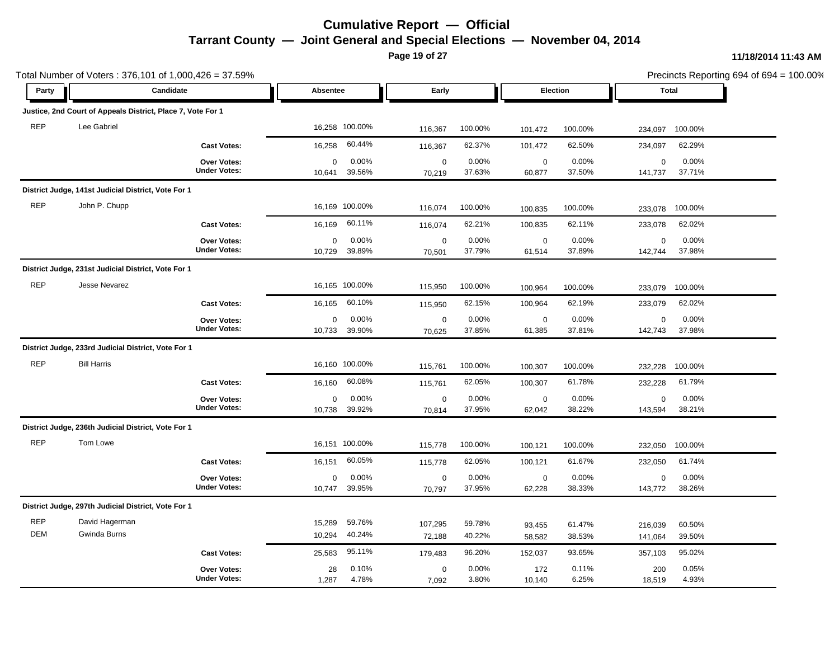**Page 19 of 27**

|                   | Total Number of Voters: 376,101 of 1,000,426 = 37.59%       |                                    |                       |                  |                       |                  |                       |                  |                        |                  | Precincts Reporting 694 of 694 = 100.00% |
|-------------------|-------------------------------------------------------------|------------------------------------|-----------------------|------------------|-----------------------|------------------|-----------------------|------------------|------------------------|------------------|------------------------------------------|
| Party             |                                                             | Candidate                          | Absentee              |                  | Early                 |                  | Election              |                  | <b>Total</b>           |                  |                                          |
|                   | Justice, 2nd Court of Appeals District, Place 7, Vote For 1 |                                    |                       |                  |                       |                  |                       |                  |                        |                  |                                          |
| <b>REP</b>        | Lee Gabriel                                                 |                                    | 16,258 100.00%        |                  | 116,367               | 100.00%          | 101,472               | 100.00%          | 234,097                | 100.00%          |                                          |
|                   |                                                             | <b>Cast Votes:</b>                 | 16,258                | 60.44%           | 116,367               | 62.37%           | 101,472               | 62.50%           | 234,097                | 62.29%           |                                          |
|                   |                                                             | Over Votes:<br><b>Under Votes:</b> | $\mathbf 0$<br>10,641 | 0.00%<br>39.56%  | $\mathbf 0$<br>70,219 | 0.00%<br>37.63%  | $\mathbf 0$<br>60,877 | 0.00%<br>37.50%  | $\mathbf 0$<br>141,737 | 0.00%<br>37.71%  |                                          |
|                   | District Judge, 141st Judicial District, Vote For 1         |                                    |                       |                  |                       |                  |                       |                  |                        |                  |                                          |
| <b>REP</b>        | John P. Chupp                                               |                                    | 16,169 100.00%        |                  | 116,074               | 100.00%          | 100,835               | 100.00%          | 233,078                | 100.00%          |                                          |
|                   |                                                             | <b>Cast Votes:</b>                 | 16,169                | 60.11%           | 116,074               | 62.21%           | 100,835               | 62.11%           | 233,078                | 62.02%           |                                          |
|                   |                                                             | Over Votes:<br><b>Under Votes:</b> | 0<br>10,729           | 0.00%<br>39.89%  | $\pmb{0}$<br>70,501   | 0.00%<br>37.79%  | $\mathbf 0$<br>61,514 | 0.00%<br>37.89%  | $\mathbf 0$<br>142,744 | 0.00%<br>37.98%  |                                          |
|                   | District Judge, 231st Judicial District, Vote For 1         |                                    |                       |                  |                       |                  |                       |                  |                        |                  |                                          |
| <b>REP</b>        | Jesse Nevarez                                               |                                    | 16,165 100.00%        |                  | 115,950               | 100.00%          | 100,964               | 100.00%          | 233,079                | 100.00%          |                                          |
|                   |                                                             | <b>Cast Votes:</b>                 | 16,165                | 60.10%           | 115,950               | 62.15%           | 100,964               | 62.19%           | 233,079                | 62.02%           |                                          |
|                   |                                                             | Over Votes:<br><b>Under Votes:</b> | 0<br>10,733           | 0.00%<br>39.90%  | $\mathbf 0$<br>70,625 | 0.00%<br>37.85%  | $\mathbf 0$<br>61,385 | 0.00%<br>37.81%  | $\mathsf 0$<br>142,743 | 0.00%<br>37.98%  |                                          |
|                   | District Judge, 233rd Judicial District, Vote For 1         |                                    |                       |                  |                       |                  |                       |                  |                        |                  |                                          |
| <b>REP</b>        | <b>Bill Harris</b>                                          |                                    | 16,160 100.00%        |                  | 115,761               | 100.00%          | 100,307               | 100.00%          | 232,228                | 100.00%          |                                          |
|                   |                                                             | <b>Cast Votes:</b>                 | 16,160                | 60.08%           | 115,761               | 62.05%           | 100,307               | 61.78%           | 232,228                | 61.79%           |                                          |
|                   |                                                             | Over Votes:<br><b>Under Votes:</b> | $\mathbf 0$<br>10,738 | 0.00%<br>39.92%  | $\pmb{0}$<br>70,814   | 0.00%<br>37.95%  | $\pmb{0}$<br>62,042   | 0.00%<br>38.22%  | $\mathbf 0$<br>143,594 | 0.00%<br>38.21%  |                                          |
|                   | District Judge, 236th Judicial District, Vote For 1         |                                    |                       |                  |                       |                  |                       |                  |                        |                  |                                          |
| <b>REP</b>        | Tom Lowe                                                    |                                    | 16,151 100.00%        |                  | 115,778               | 100.00%          | 100,121               | 100.00%          | 232,050                | 100.00%          |                                          |
|                   |                                                             | <b>Cast Votes:</b>                 | 16,151                | 60.05%           | 115,778               | 62.05%           | 100,121               | 61.67%           | 232,050                | 61.74%           |                                          |
|                   |                                                             | Over Votes:<br><b>Under Votes:</b> | $\mathbf 0$<br>10,747 | 0.00%<br>39.95%  | $\mathbf 0$<br>70,797 | 0.00%<br>37.95%  | $\pmb{0}$<br>62,228   | 0.00%<br>38.33%  | $\mathsf 0$<br>143,772 | 0.00%<br>38.26%  |                                          |
|                   | District Judge, 297th Judicial District, Vote For 1         |                                    |                       |                  |                       |                  |                       |                  |                        |                  |                                          |
| <b>REP</b><br>DEM | David Hagerman<br>Gwinda Burns                              |                                    | 15,289<br>10,294      | 59.76%<br>40.24% | 107,295<br>72,188     | 59.78%<br>40.22% | 93,455<br>58,582      | 61.47%<br>38.53% | 216,039<br>141,064     | 60.50%<br>39.50% |                                          |
|                   |                                                             | <b>Cast Votes:</b>                 | 25,583                | 95.11%           | 179,483               | 96.20%           | 152,037               | 93.65%           | 357,103                | 95.02%           |                                          |
|                   |                                                             | Over Votes:<br><b>Under Votes:</b> | 28<br>1,287           | 0.10%<br>4.78%   | $\mathbf 0$<br>7,092  | 0.00%<br>3.80%   | 172<br>10,140         | 0.11%<br>6.25%   | 200<br>18,519          | 0.05%<br>4.93%   |                                          |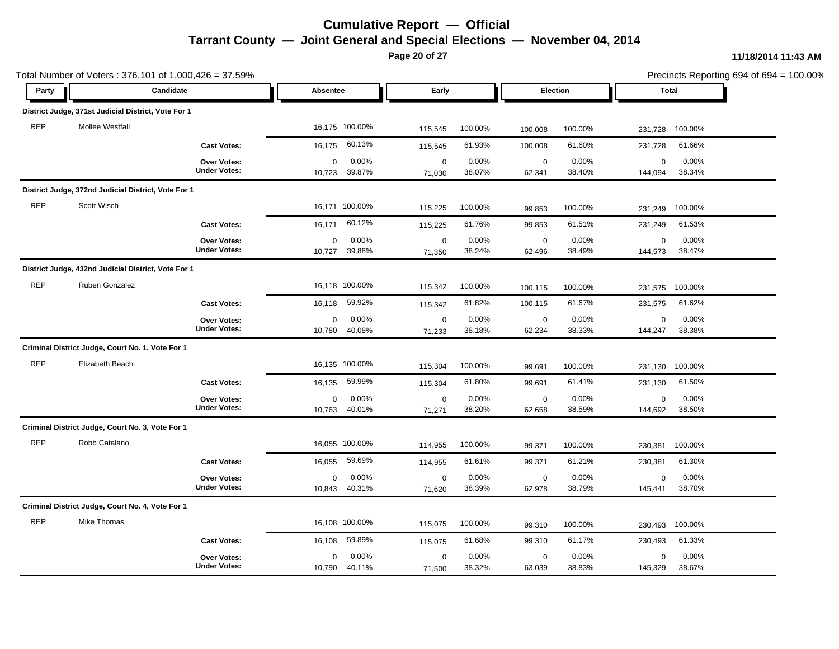**Page 20 of 27**

|            | Total Number of Voters: 376,101 of 1,000,426 = 37.59% |                                    |                       |                 |                       |                 |                       |                 |                        |                 | Precincts Reporting 694 of 694 = 100.00% |
|------------|-------------------------------------------------------|------------------------------------|-----------------------|-----------------|-----------------------|-----------------|-----------------------|-----------------|------------------------|-----------------|------------------------------------------|
| Party      |                                                       | Candidate                          | Absentee              |                 | Early                 |                 | Election              |                 |                        | <b>Total</b>    |                                          |
|            | District Judge, 371st Judicial District, Vote For 1   |                                    |                       |                 |                       |                 |                       |                 |                        |                 |                                          |
| <b>REP</b> | Mollee Westfall                                       |                                    | 16,175 100.00%        |                 | 115,545               | 100.00%         | 100,008               | 100.00%         | 231,728                | 100.00%         |                                          |
|            |                                                       | <b>Cast Votes:</b>                 | 16,175                | 60.13%          | 115,545               | 61.93%          | 100,008               | 61.60%          | 231,728                | 61.66%          |                                          |
|            |                                                       | Over Votes:<br><b>Under Votes:</b> | 0<br>10,723           | 0.00%<br>39.87% | $\pmb{0}$<br>71,030   | 0.00%<br>38.07% | $\mathbf 0$<br>62,341 | 0.00%<br>38.40% | $\mathbf 0$<br>144,094 | 0.00%<br>38.34% |                                          |
|            | District Judge, 372nd Judicial District, Vote For 1   |                                    |                       |                 |                       |                 |                       |                 |                        |                 |                                          |
| <b>REP</b> | Scott Wisch                                           |                                    |                       | 16,171 100.00%  | 115,225               | 100.00%         | 99,853                | 100.00%         | 231,249                | 100.00%         |                                          |
|            |                                                       | <b>Cast Votes:</b>                 | 16,171                | 60.12%          | 115,225               | 61.76%          | 99,853                | 61.51%          | 231,249                | 61.53%          |                                          |
|            |                                                       | Over Votes:<br><b>Under Votes:</b> | $\mathbf 0$<br>10,727 | 0.00%<br>39.88% | $\mathbf 0$<br>71,350 | 0.00%<br>38.24% | $\mathbf 0$<br>62,496 | 0.00%<br>38.49% | $\mathbf 0$<br>144,573 | 0.00%<br>38.47% |                                          |
|            | District Judge, 432nd Judicial District, Vote For 1   |                                    |                       |                 |                       |                 |                       |                 |                        |                 |                                          |
| <b>REP</b> | Ruben Gonzalez                                        |                                    | 16,118 100.00%        |                 | 115,342               | 100.00%         | 100,115               | 100.00%         | 231,575                | 100.00%         |                                          |
|            |                                                       | <b>Cast Votes:</b>                 | 16,118                | 59.92%          | 115,342               | 61.82%          | 100,115               | 61.67%          | 231,575                | 61.62%          |                                          |
|            |                                                       | Over Votes:<br><b>Under Votes:</b> | 0<br>10,780           | 0.00%<br>40.08% | $\mathbf 0$<br>71,233 | 0.00%<br>38.18% | $\mathbf 0$<br>62,234 | 0.00%<br>38.33% | 0<br>144,247           | 0.00%<br>38.38% |                                          |
|            | Criminal District Judge, Court No. 1, Vote For 1      |                                    |                       |                 |                       |                 |                       |                 |                        |                 |                                          |
| <b>REP</b> | Elizabeth Beach                                       |                                    | 16.135 100.00%        |                 | 115,304               | 100.00%         | 99,691                | 100.00%         | 231,130                | 100.00%         |                                          |
|            |                                                       | <b>Cast Votes:</b>                 | 16,135                | 59.99%          | 115,304               | 61.80%          | 99,691                | 61.41%          | 231,130                | 61.50%          |                                          |
|            |                                                       | Over Votes:<br><b>Under Votes:</b> | $\mathbf 0$<br>10,763 | 0.00%<br>40.01% | $\mathbf 0$<br>71,271 | 0.00%<br>38.20% | $\mathbf 0$<br>62,658 | 0.00%<br>38.59% | $\mathsf 0$<br>144,692 | 0.00%<br>38.50% |                                          |
|            | Criminal District Judge, Court No. 3, Vote For 1      |                                    |                       |                 |                       |                 |                       |                 |                        |                 |                                          |
| <b>REP</b> | Robb Catalano                                         |                                    | 16,055 100.00%        |                 | 114,955               | 100.00%         | 99,371                | 100.00%         | 230,381                | 100.00%         |                                          |
|            |                                                       | <b>Cast Votes:</b>                 | 16,055                | 59.69%          | 114,955               | 61.61%          | 99,371                | 61.21%          | 230,381                | 61.30%          |                                          |
|            |                                                       | Over Votes:<br><b>Under Votes:</b> | 0<br>10,843           | 0.00%<br>40.31% | $\mathbf 0$<br>71,620 | 0.00%<br>38.39% | $\pmb{0}$<br>62,978   | 0.00%<br>38.79% | $\mathsf 0$<br>145,441 | 0.00%<br>38.70% |                                          |
|            | Criminal District Judge, Court No. 4, Vote For 1      |                                    |                       |                 |                       |                 |                       |                 |                        |                 |                                          |
| <b>REP</b> | Mike Thomas                                           |                                    |                       | 16,108 100.00%  | 115,075               | 100.00%         | 99,310                | 100.00%         | 230,493                | 100.00%         |                                          |
|            |                                                       | <b>Cast Votes:</b>                 | 16,108                | 59.89%          | 115,075               | 61.68%          | 99,310                | 61.17%          | 230,493                | 61.33%          |                                          |
|            |                                                       | Over Votes:<br><b>Under Votes:</b> | $\mathbf 0$<br>10,790 | 0.00%<br>40.11% | $\mathbf 0$<br>71,500 | 0.00%<br>38.32% | $\mathbf 0$<br>63,039 | 0.00%<br>38.83% | $\mathbf 0$<br>145,329 | 0.00%<br>38.67% |                                          |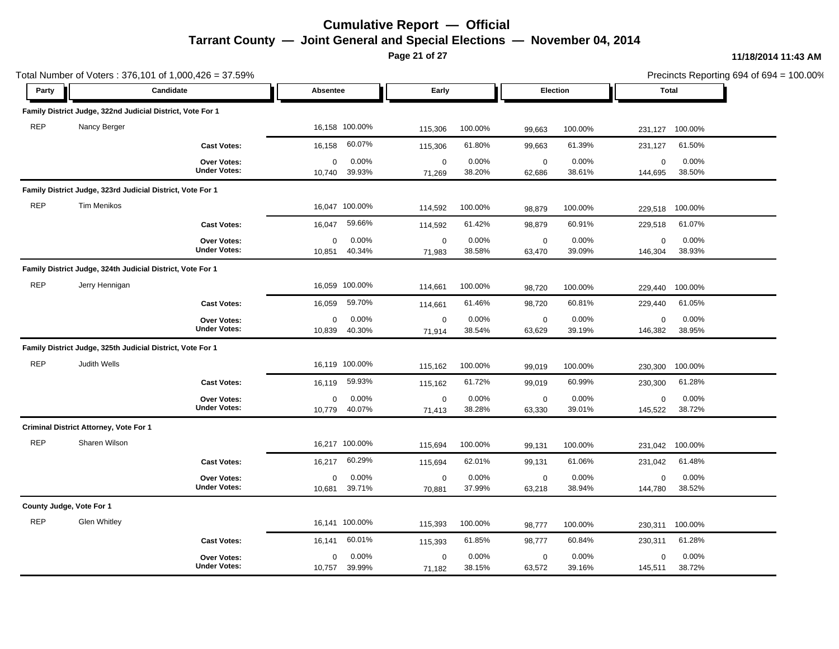**Page 21 of 27**

|            |                                                            | Total Number of Voters: 376,101 of 1,000,426 = 37.59% |                       |                 |                       |                 |                       |                 |                        |                 | Precincts Reporting 694 of 694 = 100.00% |
|------------|------------------------------------------------------------|-------------------------------------------------------|-----------------------|-----------------|-----------------------|-----------------|-----------------------|-----------------|------------------------|-----------------|------------------------------------------|
| Party      |                                                            | Candidate                                             | Absentee              |                 | Early                 |                 | Election              |                 | <b>Total</b>           |                 |                                          |
|            | Family District Judge, 322nd Judicial District, Vote For 1 |                                                       |                       |                 |                       |                 |                       |                 |                        |                 |                                          |
| <b>REP</b> | Nancy Berger                                               |                                                       |                       | 16,158 100.00%  | 115,306               | 100.00%         | 99,663                | 100.00%         | 231,127                | 100.00%         |                                          |
|            |                                                            | <b>Cast Votes:</b>                                    | 16,158                | 60.07%          | 115,306               | 61.80%          | 99,663                | 61.39%          | 231,127                | 61.50%          |                                          |
|            |                                                            | Over Votes:<br><b>Under Votes:</b>                    | 0<br>10,740           | 0.00%<br>39.93% | $\pmb{0}$<br>71,269   | 0.00%<br>38.20% | $\mathbf 0$<br>62,686 | 0.00%<br>38.61% | $\mathbf 0$<br>144,695 | 0.00%<br>38.50% |                                          |
|            | Family District Judge, 323rd Judicial District, Vote For 1 |                                                       |                       |                 |                       |                 |                       |                 |                        |                 |                                          |
| <b>REP</b> | <b>Tim Menikos</b>                                         |                                                       |                       | 16,047 100.00%  | 114,592               | 100.00%         | 98,879                | 100.00%         | 229,518                | 100.00%         |                                          |
|            |                                                            | <b>Cast Votes:</b>                                    | 16,047                | 59.66%          | 114,592               | 61.42%          | 98,879                | 60.91%          | 229,518                | 61.07%          |                                          |
|            |                                                            | Over Votes:<br><b>Under Votes:</b>                    | $\mathbf 0$<br>10,851 | 0.00%<br>40.34% | $\mathbf 0$<br>71,983 | 0.00%<br>38.58% | $\mathbf 0$<br>63,470 | 0.00%<br>39.09% | $\mathbf 0$<br>146,304 | 0.00%<br>38.93% |                                          |
|            | Family District Judge, 324th Judicial District, Vote For 1 |                                                       |                       |                 |                       |                 |                       |                 |                        |                 |                                          |
| <b>REP</b> | Jerry Hennigan                                             |                                                       |                       | 16,059 100.00%  | 114,661               | 100.00%         | 98,720                | 100.00%         | 229,440                | 100.00%         |                                          |
|            |                                                            | <b>Cast Votes:</b>                                    | 16,059                | 59.70%          | 114,661               | 61.46%          | 98,720                | 60.81%          | 229,440                | 61.05%          |                                          |
|            |                                                            | Over Votes:<br><b>Under Votes:</b>                    | 0<br>10,839           | 0.00%<br>40.30% | $\mathbf 0$<br>71,914 | 0.00%<br>38.54% | $\pmb{0}$<br>63,629   | 0.00%<br>39.19% | $\mathbf 0$<br>146,382 | 0.00%<br>38.95% |                                          |
|            | Family District Judge, 325th Judicial District, Vote For 1 |                                                       |                       |                 |                       |                 |                       |                 |                        |                 |                                          |
| <b>REP</b> | Judith Wells                                               |                                                       |                       | 16,119 100.00%  | 115,162               | 100.00%         | 99,019                | 100.00%         | 230,300                | 100.00%         |                                          |
|            |                                                            | <b>Cast Votes:</b>                                    | 16,119                | 59.93%          | 115,162               | 61.72%          | 99,019                | 60.99%          | 230,300                | 61.28%          |                                          |
|            |                                                            | Over Votes:<br><b>Under Votes:</b>                    | $\mathbf 0$<br>10,779 | 0.00%<br>40.07% | $\mathbf 0$<br>71,413 | 0.00%<br>38.28% | $\mathbf 0$<br>63,330 | 0.00%<br>39.01% | $\mathsf 0$<br>145,522 | 0.00%<br>38.72% |                                          |
|            | <b>Criminal District Attorney, Vote For 1</b>              |                                                       |                       |                 |                       |                 |                       |                 |                        |                 |                                          |
| <b>REP</b> | Sharen Wilson                                              |                                                       |                       | 16,217 100.00%  | 115,694               | 100.00%         | 99,131                | 100.00%         | 231,042                | 100.00%         |                                          |
|            |                                                            | <b>Cast Votes:</b>                                    | 16,217                | 60.29%          | 115,694               | 62.01%          | 99,131                | 61.06%          | 231,042                | 61.48%          |                                          |
|            |                                                            | Over Votes:<br><b>Under Votes:</b>                    | $\mathbf 0$<br>10,681 | 0.00%<br>39.71% | $\mathbf 0$<br>70,881 | 0.00%<br>37.99% | $\pmb{0}$<br>63,218   | 0.00%<br>38.94% | $\mathsf 0$<br>144,780 | 0.00%<br>38.52% |                                          |
|            | County Judge, Vote For 1                                   |                                                       |                       |                 |                       |                 |                       |                 |                        |                 |                                          |
| <b>REP</b> | <b>Glen Whitley</b>                                        |                                                       |                       | 16,141 100.00%  | 115,393               | 100.00%         | 98,777                | 100.00%         | 230,311                | 100.00%         |                                          |
|            |                                                            | <b>Cast Votes:</b>                                    | 16,141                | 60.01%          | 115,393               | 61.85%          | 98,777                | 60.84%          | 230,311                | 61.28%          |                                          |
|            |                                                            | Over Votes:<br><b>Under Votes:</b>                    | $\mathbf 0$<br>10,757 | 0.00%<br>39.99% | $\mathbf 0$<br>71,182 | 0.00%<br>38.15% | $\pmb{0}$<br>63,572   | 0.00%<br>39.16% | $\mathbf 0$<br>145,511 | 0.00%<br>38.72% |                                          |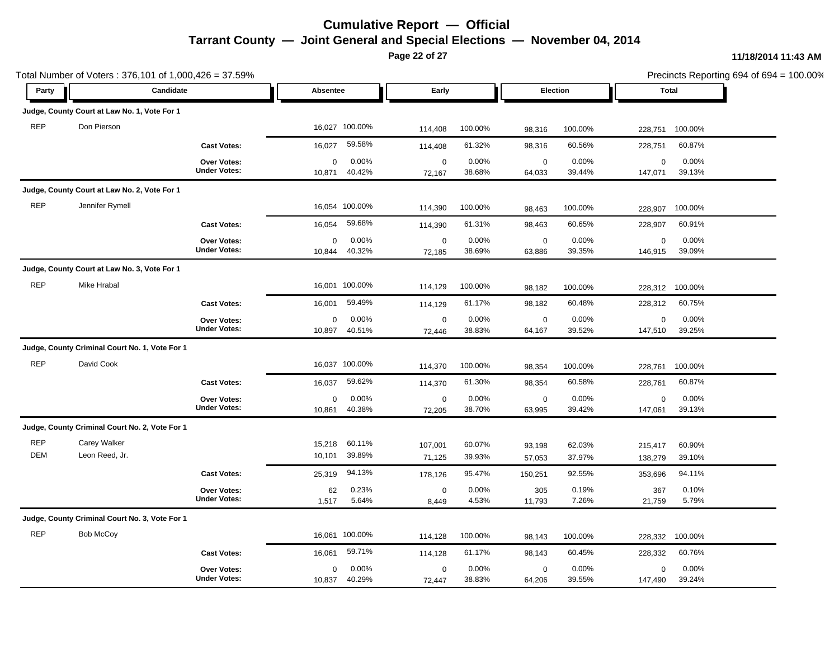**Page 22 of 27**

|                          | Total Number of Voters: 376,101 of 1,000,426 = 37.59% |                                    |                                      |                                      |                  |                       |                  |                        |                  | Precincts Reporting 694 of 694 = 100.00% |
|--------------------------|-------------------------------------------------------|------------------------------------|--------------------------------------|--------------------------------------|------------------|-----------------------|------------------|------------------------|------------------|------------------------------------------|
| Party                    |                                                       | Candidate                          | Absentee                             | Early                                |                  | Election              |                  |                        | <b>Total</b>     |                                          |
|                          | Judge, County Court at Law No. 1, Vote For 1          |                                    |                                      |                                      |                  |                       |                  |                        |                  |                                          |
| <b>REP</b>               | Don Pierson                                           |                                    | 16,027 100.00%                       | 114,408                              | 100.00%          | 98,316                | 100.00%          | 228,751                | 100.00%          |                                          |
|                          |                                                       | <b>Cast Votes:</b>                 | 59.58%<br>16,027                     | 114,408                              | 61.32%           | 98,316                | 60.56%           | 228,751                | 60.87%           |                                          |
|                          |                                                       | Over Votes:<br><b>Under Votes:</b> | $\mathbf 0$<br>40.42%<br>10,871      | 0.00%<br>$\mathbf 0$<br>72,167       | 0.00%<br>38.68%  | $\mathbf 0$<br>64,033 | 0.00%<br>39.44%  | $\mathbf 0$<br>147,071 | 0.00%<br>39.13%  |                                          |
|                          | Judge, County Court at Law No. 2, Vote For 1          |                                    |                                      |                                      |                  |                       |                  |                        |                  |                                          |
| <b>REP</b>               | Jennifer Rymell                                       |                                    | 16,054 100.00%                       | 114,390                              | 100.00%          | 98,463                | 100.00%          | 228,907                | 100.00%          |                                          |
|                          |                                                       | <b>Cast Votes:</b>                 | 59.68%<br>16,054                     | 114,390                              | 61.31%           | 98,463                | 60.65%           | 228,907                | 60.91%           |                                          |
|                          |                                                       | Over Votes:<br><b>Under Votes:</b> | $\mathbf 0$<br>40.32%<br>10,844      | 0.00%<br>$\mathbf 0$<br>72,185       | 0.00%<br>38.69%  | $\mathbf 0$<br>63,886 | 0.00%<br>39.35%  | $\mathbf 0$<br>146,915 | 0.00%<br>39.09%  |                                          |
|                          | Judge, County Court at Law No. 3, Vote For 1          |                                    |                                      |                                      |                  |                       |                  |                        |                  |                                          |
| <b>REP</b>               | <b>Mike Hrabal</b>                                    |                                    | 16,001 100.00%                       | 114,129                              | 100.00%          | 98,182                | 100.00%          | 228,312                | 100.00%          |                                          |
|                          |                                                       | <b>Cast Votes:</b>                 | 59.49%<br>16,001                     | 114,129                              | 61.17%           | 98,182                | 60.48%           | 228,312                | 60.75%           |                                          |
|                          |                                                       | Over Votes:<br><b>Under Votes:</b> | 0<br>40.51%<br>10,897                | 0.00%<br>$\mathbf 0$<br>72,446       | 0.00%<br>38.83%  | $\mathbf 0$<br>64,167 | 0.00%<br>39.52%  | $\mathbf 0$<br>147,510 | 0.00%<br>39.25%  |                                          |
|                          | Judge, County Criminal Court No. 1, Vote For 1        |                                    |                                      |                                      |                  |                       |                  |                        |                  |                                          |
| <b>REP</b>               | David Cook                                            |                                    | 16,037 100.00%                       | 114,370                              | 100.00%          | 98,354                | 100.00%          | 228,761                | 100.00%          |                                          |
|                          |                                                       | <b>Cast Votes:</b>                 | 59.62%<br>16,037                     | 114,370                              | 61.30%           | 98,354                | 60.58%           | 228,761                | 60.87%           |                                          |
|                          |                                                       | Over Votes:<br><b>Under Votes:</b> | 0<br>40.38%<br>10,861                | 0.00%<br>$\pmb{0}$<br>72,205         | 0.00%<br>38.70%  | $\mathbf 0$<br>63,995 | 0.00%<br>39.42%  | $\mathbf 0$<br>147,061 | 0.00%<br>39.13%  |                                          |
|                          | Judge, County Criminal Court No. 2, Vote For 1        |                                    |                                      |                                      |                  |                       |                  |                        |                  |                                          |
| <b>REP</b><br><b>DEM</b> | Carey Walker<br>Leon Reed, Jr.                        |                                    | 60.11%<br>15,218<br>39.89%<br>10,101 | 107,001<br>71,125                    | 60.07%<br>39.93% | 93,198<br>57,053      | 62.03%<br>37.97% | 215,417<br>138,279     | 60.90%<br>39.10% |                                          |
|                          |                                                       | <b>Cast Votes:</b>                 | 94.13%<br>25,319                     | 178,126                              | 95.47%           | 150,251               | 92.55%           | 353,696                | 94.11%           |                                          |
|                          |                                                       | Over Votes:<br><b>Under Votes:</b> | 62<br>1,517                          | 0.23%<br>$\pmb{0}$<br>5.64%<br>8,449 | 0.00%<br>4.53%   | 305<br>11,793         | 0.19%<br>7.26%   | 367<br>21,759          | 0.10%<br>5.79%   |                                          |
|                          | Judge, County Criminal Court No. 3, Vote For 1        |                                    |                                      |                                      |                  |                       |                  |                        |                  |                                          |
| <b>REP</b>               | Bob McCoy                                             |                                    | 16,061 100.00%                       | 114,128                              | 100.00%          | 98,143                | 100.00%          | 228,332                | 100.00%          |                                          |
|                          |                                                       | <b>Cast Votes:</b>                 | 59.71%<br>16,061                     | 114,128                              | 61.17%           | 98,143                | 60.45%           | 228,332                | 60.76%           |                                          |
|                          |                                                       | Over Votes:<br><b>Under Votes:</b> | 0<br>40.29%<br>10,837                | 0.00%<br>$\mathbf 0$<br>72,447       | 0.00%<br>38.83%  | $\mathbf 0$<br>64,206 | 0.00%<br>39.55%  | $\mathbf 0$<br>147,490 | 0.00%<br>39.24%  |                                          |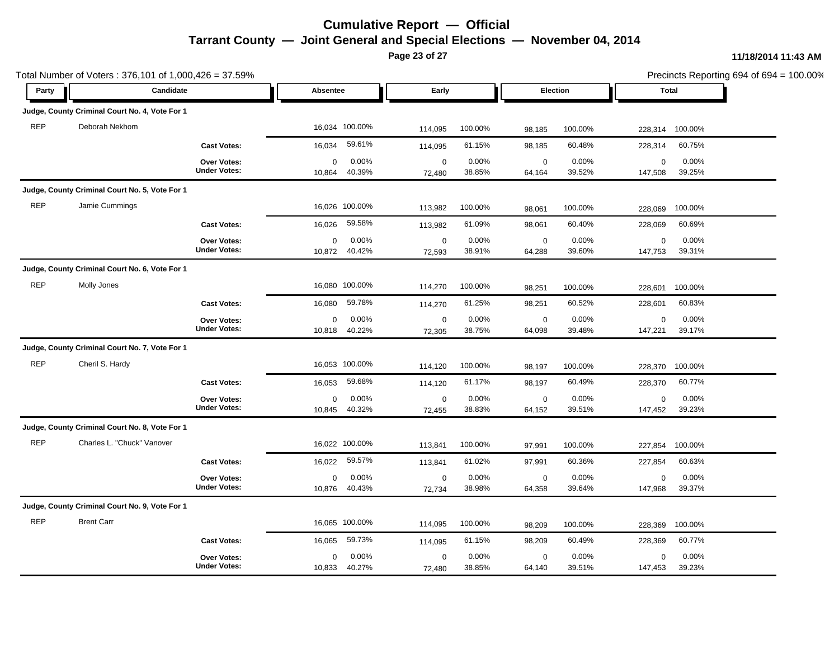**Page 23 of 27**

|            | Total Number of Voters: 376,101 of 1,000,426 = 37.59% |                                    |                       |                 |                       |                 |                       |                 |                        |                 | Precincts Reporting 694 of 694 = 100.00% |
|------------|-------------------------------------------------------|------------------------------------|-----------------------|-----------------|-----------------------|-----------------|-----------------------|-----------------|------------------------|-----------------|------------------------------------------|
| Party      | Candidate                                             |                                    | Absentee              |                 | Early                 |                 | Election              |                 | <b>Total</b>           |                 |                                          |
|            | Judge, County Criminal Court No. 4, Vote For 1        |                                    |                       |                 |                       |                 |                       |                 |                        |                 |                                          |
| <b>REP</b> | Deborah Nekhom                                        |                                    |                       | 16,034 100.00%  | 114,095               | 100.00%         | 98,185                | 100.00%         | 228,314                | 100.00%         |                                          |
|            |                                                       | <b>Cast Votes:</b>                 | 16,034                | 59.61%          | 114,095               | 61.15%          | 98,185                | 60.48%          | 228,314                | 60.75%          |                                          |
|            |                                                       | Over Votes:<br><b>Under Votes:</b> | $\mathbf 0$<br>10,864 | 0.00%<br>40.39% | $\mathbf 0$<br>72,480 | 0.00%<br>38.85% | $\mathbf 0$<br>64,164 | 0.00%<br>39.52% | $\mathbf 0$<br>147,508 | 0.00%<br>39.25% |                                          |
|            | Judge, County Criminal Court No. 5, Vote For 1        |                                    |                       |                 |                       |                 |                       |                 |                        |                 |                                          |
| <b>REP</b> | Jamie Cummings                                        |                                    |                       | 16,026 100.00%  | 113,982               | 100.00%         | 98,061                | 100.00%         | 228,069                | 100.00%         |                                          |
|            |                                                       | <b>Cast Votes:</b>                 | 16,026                | 59.58%          | 113,982               | 61.09%          | 98,061                | 60.40%          | 228,069                | 60.69%          |                                          |
|            |                                                       | Over Votes:<br><b>Under Votes:</b> | $\mathbf 0$<br>10,872 | 0.00%<br>40.42% | $\mathbf 0$<br>72,593 | 0.00%<br>38.91% | $\mathbf 0$<br>64,288 | 0.00%<br>39.60% | $\mathbf 0$<br>147,753 | 0.00%<br>39.31% |                                          |
|            | Judge, County Criminal Court No. 6, Vote For 1        |                                    |                       |                 |                       |                 |                       |                 |                        |                 |                                          |
| <b>REP</b> | Molly Jones                                           |                                    |                       | 16,080 100.00%  | 114,270               | 100.00%         | 98,251                | 100.00%         | 228,601                | 100.00%         |                                          |
|            |                                                       | <b>Cast Votes:</b>                 | 16,080                | 59.78%          | 114,270               | 61.25%          | 98,251                | 60.52%          | 228,601                | 60.83%          |                                          |
|            |                                                       | Over Votes:<br><b>Under Votes:</b> | 0<br>10,818           | 0.00%<br>40.22% | $\pmb{0}$<br>72,305   | 0.00%<br>38.75% | $\mathbf 0$<br>64,098 | 0.00%<br>39.48% | $\mathsf 0$<br>147,221 | 0.00%<br>39.17% |                                          |
|            | Judge, County Criminal Court No. 7, Vote For 1        |                                    |                       |                 |                       |                 |                       |                 |                        |                 |                                          |
| <b>REP</b> | Cheril S. Hardy                                       |                                    |                       | 16,053 100.00%  | 114,120               | 100.00%         | 98,197                | 100.00%         | 228,370                | 100.00%         |                                          |
|            |                                                       | <b>Cast Votes:</b>                 | 16,053                | 59.68%          | 114,120               | 61.17%          | 98,197                | 60.49%          | 228,370                | 60.77%          |                                          |
|            |                                                       | Over Votes:<br><b>Under Votes:</b> | 0<br>10,845           | 0.00%<br>40.32% | $\mathbf 0$<br>72,455 | 0.00%<br>38.83% | $\pmb{0}$<br>64,152   | 0.00%<br>39.51% | $\mathbf 0$<br>147,452 | 0.00%<br>39.23% |                                          |
|            | Judge, County Criminal Court No. 8, Vote For 1        |                                    |                       |                 |                       |                 |                       |                 |                        |                 |                                          |
| <b>REP</b> | Charles L. "Chuck" Vanover                            |                                    |                       | 16,022 100.00%  | 113,841               | 100.00%         | 97,991                | 100.00%         | 227,854                | 100.00%         |                                          |
|            |                                                       | <b>Cast Votes:</b>                 | 16,022                | 59.57%          | 113,841               | 61.02%          | 97,991                | 60.36%          | 227,854                | 60.63%          |                                          |
|            |                                                       | Over Votes:<br><b>Under Votes:</b> | 0<br>10,876           | 0.00%<br>40.43% | $\mathbf 0$<br>72,734 | 0.00%<br>38.98% | $\mathbf 0$<br>64,358 | 0.00%<br>39.64% | $\mathsf 0$<br>147,968 | 0.00%<br>39.37% |                                          |
|            | Judge, County Criminal Court No. 9, Vote For 1        |                                    |                       |                 |                       |                 |                       |                 |                        |                 |                                          |
| <b>REP</b> | <b>Brent Carr</b>                                     |                                    |                       | 16,065 100.00%  | 114,095               | 100.00%         | 98,209                | 100.00%         | 228,369                | 100.00%         |                                          |
|            |                                                       | <b>Cast Votes:</b>                 | 16,065                | 59.73%          | 114,095               | 61.15%          | 98,209                | 60.49%          | 228,369                | 60.77%          |                                          |
|            |                                                       | Over Votes:<br><b>Under Votes:</b> | $\mathbf 0$<br>10,833 | 0.00%<br>40.27% | $\pmb{0}$<br>72,480   | 0.00%<br>38.85% | $\mathbf 0$<br>64,140 | 0.00%<br>39.51% | $\mathbf 0$<br>147,453 | 0.00%<br>39.23% |                                          |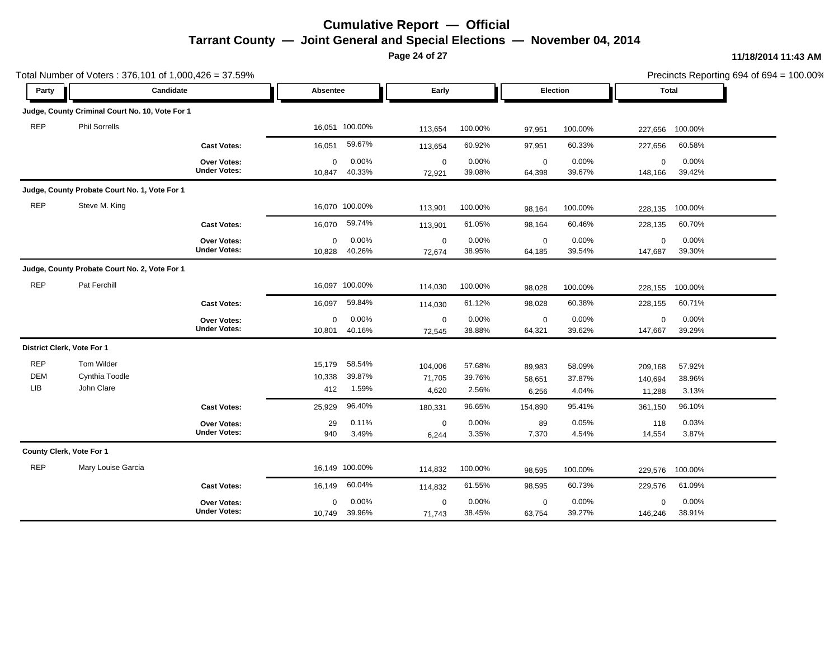**Page 24 of 27**

|                                 | Total Number of Voters: 376,101 of 1,000,426 = 37.59% |                                    |                         |                           |                            |                           |                           |                           |                              |                           | Precincts Reporting 694 of 694 = 100.00% |
|---------------------------------|-------------------------------------------------------|------------------------------------|-------------------------|---------------------------|----------------------------|---------------------------|---------------------------|---------------------------|------------------------------|---------------------------|------------------------------------------|
| Party                           |                                                       | Candidate                          | Absentee                |                           | Early                      |                           | Election                  |                           | <b>Total</b>                 |                           |                                          |
|                                 | Judge, County Criminal Court No. 10, Vote For 1       |                                    |                         |                           |                            |                           |                           |                           |                              |                           |                                          |
| <b>REP</b>                      | <b>Phil Sorrells</b>                                  |                                    | 16,051 100.00%          |                           | 113,654                    | 100.00%                   | 97,951                    | 100.00%                   | 227,656                      | 100.00%                   |                                          |
|                                 |                                                       | <b>Cast Votes:</b>                 | 16,051                  | 59.67%                    | 113,654                    | 60.92%                    | 97,951                    | 60.33%                    | 227,656                      | 60.58%                    |                                          |
|                                 |                                                       | Over Votes:<br><b>Under Votes:</b> | $\mathbf 0$<br>10,847   | 0.00%<br>40.33%           | $\mathbf 0$<br>72,921      | 0.00%<br>39.08%           | $\mathbf 0$<br>64,398     | 0.00%<br>39.67%           | $\mathbf 0$<br>148,166       | 0.00%<br>39.42%           |                                          |
|                                 | Judge, County Probate Court No. 1, Vote For 1         |                                    |                         |                           |                            |                           |                           |                           |                              |                           |                                          |
| <b>REP</b>                      | Steve M. King                                         |                                    | 16,070 100.00%          |                           | 113,901                    | 100.00%                   | 98,164                    | 100.00%                   | 228,135                      | 100.00%                   |                                          |
|                                 |                                                       | <b>Cast Votes:</b>                 | 16,070                  | 59.74%                    | 113,901                    | 61.05%                    | 98,164                    | 60.46%                    | 228,135                      | 60.70%                    |                                          |
|                                 |                                                       | Over Votes:<br><b>Under Votes:</b> | 0<br>10,828             | 0.00%<br>40.26%           | $\mathbf 0$<br>72,674      | 0.00%<br>38.95%           | $\mathbf 0$<br>64,185     | 0.00%<br>39.54%           | $\mathbf 0$<br>147,687       | 0.00%<br>39.30%           |                                          |
|                                 | Judge, County Probate Court No. 2, Vote For 1         |                                    |                         |                           |                            |                           |                           |                           |                              |                           |                                          |
| <b>REP</b>                      | Pat Ferchill                                          |                                    | 16,097 100.00%          |                           | 114,030                    | 100.00%                   | 98,028                    | 100.00%                   | 228,155                      | 100.00%                   |                                          |
|                                 |                                                       | <b>Cast Votes:</b>                 | 16,097                  | 59.84%                    | 114,030                    | 61.12%                    | 98,028                    | 60.38%                    | 228,155                      | 60.71%                    |                                          |
|                                 |                                                       | Over Votes:<br><b>Under Votes:</b> | $\mathbf 0$<br>10,801   | 0.00%<br>40.16%           | $\mathbf 0$<br>72,545      | 0.00%<br>38.88%           | $\mathbf 0$<br>64,321     | 0.00%<br>39.62%           | $\mathbf 0$<br>147,667       | 0.00%<br>39.29%           |                                          |
|                                 | District Clerk, Vote For 1                            |                                    |                         |                           |                            |                           |                           |                           |                              |                           |                                          |
| <b>REP</b><br><b>DEM</b><br>LIB | Tom Wilder<br>Cynthia Toodle<br>John Clare            |                                    | 15,179<br>10,338<br>412 | 58.54%<br>39.87%<br>1.59% | 104,006<br>71,705<br>4,620 | 57.68%<br>39.76%<br>2.56% | 89,983<br>58,651<br>6,256 | 58.09%<br>37.87%<br>4.04% | 209,168<br>140,694<br>11,288 | 57.92%<br>38.96%<br>3.13% |                                          |
|                                 |                                                       | <b>Cast Votes:</b>                 | 25,929                  | 96.40%                    | 180,331                    | 96.65%                    | 154,890                   | 95.41%                    | 361,150                      | 96.10%                    |                                          |
|                                 |                                                       | Over Votes:<br><b>Under Votes:</b> | 29<br>940               | 0.11%<br>3.49%            | $\mathbf 0$<br>6,244       | 0.00%<br>3.35%            | 89<br>7,370               | 0.05%<br>4.54%            | 118<br>14,554                | 0.03%<br>3.87%            |                                          |
|                                 | County Clerk, Vote For 1                              |                                    |                         |                           |                            |                           |                           |                           |                              |                           |                                          |
| <b>REP</b>                      | Mary Louise Garcia                                    |                                    | 16,149 100.00%          |                           | 114,832                    | 100.00%                   | 98,595                    | 100.00%                   | 229,576                      | 100.00%                   |                                          |
|                                 |                                                       | <b>Cast Votes:</b>                 | 16,149                  | 60.04%                    | 114,832                    | 61.55%                    | 98,595                    | 60.73%                    | 229,576                      | 61.09%                    |                                          |
|                                 |                                                       | Over Votes:<br><b>Under Votes:</b> | 0<br>10,749             | 0.00%<br>39.96%           | $\mathbf 0$<br>71,743      | 0.00%<br>38.45%           | $\mathbf 0$<br>63,754     | 0.00%<br>39.27%           | $\mathbf 0$<br>146,246       | 0.00%<br>38.91%           |                                          |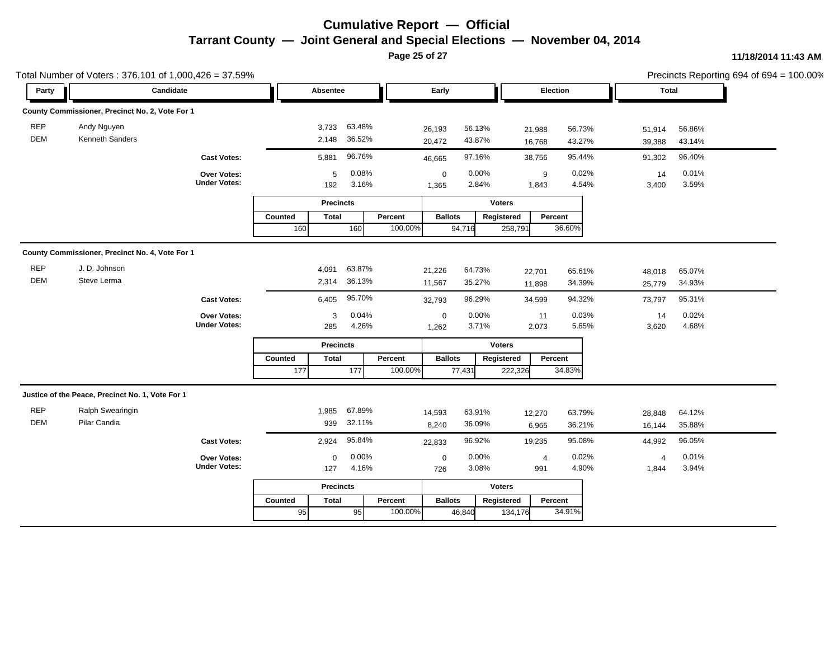**Page 25 of 27**

|                          | Total Number of Voters: 376,101 of 1,000,426 = 37.59% |                                    |                         |                  |         |                      |                  |                  |                  |                  |                  | Precincts Reporting 694 of 694 = 100.00% |
|--------------------------|-------------------------------------------------------|------------------------------------|-------------------------|------------------|---------|----------------------|------------------|------------------|------------------|------------------|------------------|------------------------------------------|
| Party                    | Candidate                                             |                                    | Absentee                |                  |         | Early                |                  | <b>Election</b>  |                  | Total            |                  |                                          |
|                          | County Commissioner, Precinct No. 2, Vote For 1       |                                    |                         |                  |         |                      |                  |                  |                  |                  |                  |                                          |
| <b>REP</b><br><b>DEM</b> | Andy Nguyen<br>Kenneth Sanders                        |                                    | 3,733<br>2,148          | 63.48%<br>36.52% |         | 26,193<br>20,472     | 56.13%<br>43.87% | 21,988<br>16,768 | 56.73%<br>43.27% | 51,914<br>39,388 | 56.86%<br>43.14% |                                          |
|                          |                                                       | <b>Cast Votes:</b>                 | 5,881                   | 96.76%           |         | 46,665               | 97.16%           | 38,756           | 95.44%           | 91,302           | 96.40%           |                                          |
|                          |                                                       | Over Votes:<br><b>Under Votes:</b> | 5<br>192                | 0.08%<br>3.16%   |         | $\mathbf 0$<br>1,365 | 0.00%<br>2.84%   | 9<br>1,843       | 0.02%<br>4.54%   | 14<br>3,400      | 0.01%<br>3.59%   |                                          |
|                          |                                                       |                                    | <b>Precincts</b>        |                  |         | <b>Voters</b>        |                  |                  |                  |                  |                  |                                          |
|                          |                                                       |                                    | <b>Total</b><br>Counted |                  | Percent | <b>Ballots</b>       | Registered       |                  | Percent          |                  |                  |                                          |
|                          |                                                       |                                    | 160                     | 160              | 100.00% | 94,716               |                  | 258,791          | 36.60%           |                  |                  |                                          |
|                          | County Commissioner, Precinct No. 4, Vote For 1       |                                    |                         |                  |         |                      |                  |                  |                  |                  |                  |                                          |
| <b>REP</b>               | J. D. Johnson                                         |                                    | 4,091                   | 63.87%           |         | 21,226               | 64.73%           | 22,701           | 65.61%           | 48,018           | 65.07%           |                                          |
| <b>DEM</b>               | Steve Lerma                                           |                                    | 2,314                   | 36.13%           |         | 11,567               | 35.27%           | 11,898           | 34.39%           | 25,779           | 34.93%           |                                          |
|                          |                                                       | <b>Cast Votes:</b>                 | 6,405                   | 95.70%           |         | 32,793               | 96.29%           | 34,599           | 94.32%           | 73,797           | 95.31%           |                                          |
|                          |                                                       | Over Votes:                        | 3                       | 0.04%            |         | $\mathbf 0$          | 0.00%            | 11               | 0.03%            | 14               | 0.02%            |                                          |
|                          |                                                       | <b>Under Votes:</b>                | 285                     | 4.26%            |         | 1,262                | 3.71%            | 2,073            | 5.65%            | 3,620            | 4.68%            |                                          |
|                          |                                                       |                                    |                         | <b>Precincts</b> |         | <b>Voters</b>        |                  |                  |                  |                  |                  |                                          |
|                          |                                                       |                                    | Counted<br><b>Total</b> |                  | Percent | <b>Ballots</b>       | Registered       |                  | Percent          |                  |                  |                                          |
|                          |                                                       |                                    | 177                     | 177              | 100.00% | 77,431               |                  | 222,326          | 34.83%           |                  |                  |                                          |
|                          | Justice of the Peace, Precinct No. 1, Vote For 1      |                                    |                         |                  |         |                      |                  |                  |                  |                  |                  |                                          |
| <b>REP</b>               | Ralph Swearingin                                      |                                    | 1,985                   | 67.89%           |         | 14,593               | 63.91%           | 12,270           | 63.79%           | 28,848           | 64.12%           |                                          |
| <b>DEM</b>               | Pilar Candia                                          |                                    | 939                     | 32.11%           |         | 8,240                | 36.09%           | 6,965            | 36.21%           | 16,144           | 35.88%           |                                          |
|                          |                                                       | <b>Cast Votes:</b>                 | 2,924                   | 95.84%           |         | 22,833               | 96.92%           | 19,235           | 95.08%           | 44,992           | 96.05%           |                                          |
|                          |                                                       | Over Votes:                        | $\mathbf 0$             | 0.00%            |         | $\mathbf 0$          | 0.00%            | $\overline{4}$   | 0.02%            | $\overline{4}$   | 0.01%            |                                          |
|                          |                                                       | <b>Under Votes:</b>                | 127                     | 4.16%            |         | 726                  | 3.08%            | 991              | 4.90%            | 1,844            | 3.94%            |                                          |
|                          |                                                       |                                    | <b>Precincts</b>        |                  |         |                      |                  | <b>Voters</b>    |                  |                  |                  |                                          |
|                          |                                                       |                                    | <b>Total</b><br>Counted |                  | Percent | <b>Ballots</b>       | Registered       |                  | Percent          |                  |                  |                                          |
|                          |                                                       |                                    | 95                      | 95               | 100.00% | 46,840               |                  | 134,176          | 34.91%           |                  |                  |                                          |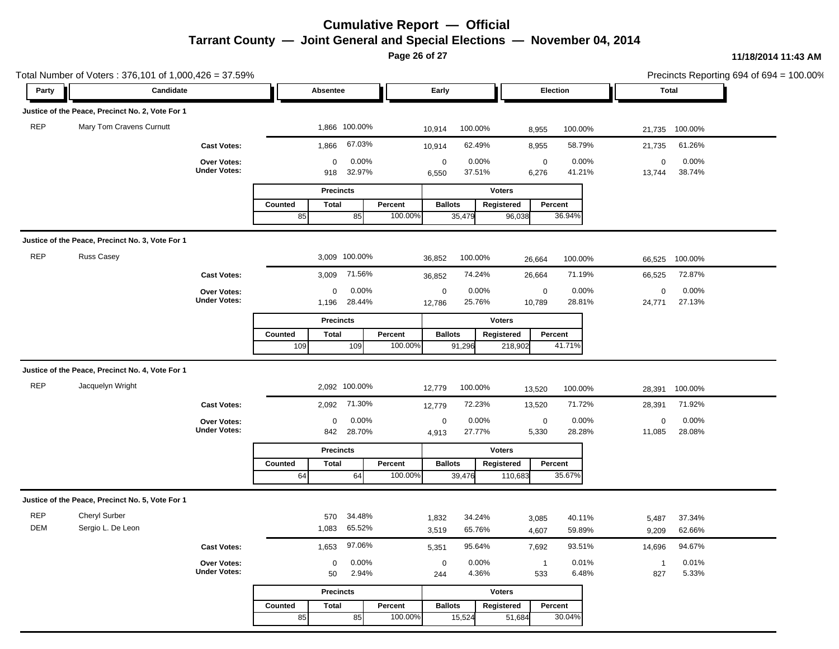**Page 26 of 27**

|            | Total Number of Voters: 376,101 of 1,000,426 = 37.59% |                                    |                                                             | Precincts Reporting 694 of 694 = $100.00\%$                            |                                |
|------------|-------------------------------------------------------|------------------------------------|-------------------------------------------------------------|------------------------------------------------------------------------|--------------------------------|
| Party      | Candidate                                             |                                    | Absentee                                                    | Early<br>Election                                                      | Total                          |
|            | Justice of the Peace, Precinct No. 2, Vote For 1      |                                    |                                                             |                                                                        |                                |
| <b>REP</b> | Mary Tom Cravens Curnutt                              |                                    | 1,866 100.00%                                               | 100.00%<br>10,914<br>8,955                                             | 100.00%<br>21,735 100.00%      |
|            |                                                       | <b>Cast Votes:</b>                 | 67.03%<br>1,866                                             | 62.49%<br>8,955<br>10,914                                              | 61.26%<br>58.79%<br>21,735     |
|            |                                                       | Over Votes:                        | 0.00%<br>0                                                  | $\mathbf 0$<br>0.00%<br>$\mathbf 0$                                    | 0.00%<br>0.00%<br>$\mathbf 0$  |
|            |                                                       | <b>Under Votes:</b>                | 32.97%<br>918                                               | 37.51%<br>6,276<br>6,550                                               | 38.74%<br>41.21%<br>13,744     |
|            |                                                       |                                    | <b>Precincts</b>                                            | <b>Voters</b>                                                          |                                |
|            |                                                       |                                    | Percent<br>Counted<br><b>Total</b><br>100.00%<br>85         | <b>Ballots</b><br>Percent<br>Registered<br>36.94%                      |                                |
|            |                                                       |                                    | 85                                                          | 35,479<br>96,038                                                       |                                |
|            | Justice of the Peace, Precinct No. 3, Vote For 1      |                                    |                                                             |                                                                        |                                |
| <b>REP</b> | <b>Russ Casey</b>                                     |                                    | 3,009 100.00%                                               | 100.00%<br>36,852<br>26,664                                            | 100.00%<br>100.00%<br>66,525   |
|            |                                                       | <b>Cast Votes:</b>                 | 71.56%<br>3,009                                             | 74.24%<br>26,664<br>36,852                                             | 72.87%<br>71.19%<br>66,525     |
|            |                                                       | Over Votes:                        | 0.00%<br>0                                                  | 0.00%<br>$\boldsymbol{0}$<br>$\mathbf 0$                               | 0.00%<br>0.00%<br>$\mathbf 0$  |
|            |                                                       | <b>Under Votes:</b>                | 28.44%<br>1,196                                             | 25.76%<br>10,789<br>12,786                                             | 27.13%<br>28.81%<br>24,771     |
|            |                                                       |                                    | <b>Precincts</b>                                            | <b>Voters</b>                                                          |                                |
|            |                                                       |                                    | Counted<br><b>Total</b><br>Percent<br>100.00%<br>109<br>109 | <b>Ballots</b><br>Registered<br>Percent<br>41.71%<br>91,296<br>218,902 |                                |
|            |                                                       |                                    |                                                             |                                                                        |                                |
|            | Justice of the Peace, Precinct No. 4, Vote For 1      |                                    |                                                             |                                                                        |                                |
| <b>REP</b> | Jacquelyn Wright                                      |                                    | 2,092 100.00%                                               | 100.00%<br>12,779<br>13,520                                            | 100.00%<br>100.00%<br>28,391   |
|            |                                                       | <b>Cast Votes:</b>                 | 71.30%<br>2,092                                             | 72.23%<br>13,520<br>12,779                                             | 71.92%<br>71.72%<br>28,391     |
|            |                                                       | Over Votes:                        | 0.00%<br>0                                                  | 0.00%<br>$\mathbf 0$<br>$\mathbf 0$                                    | 0.00%<br>0.00%<br>$\mathbf 0$  |
|            |                                                       | <b>Under Votes:</b>                | 28.70%<br>842                                               | 27.77%<br>5,330<br>4,913                                               | 28.28%<br>28.08%<br>11,085     |
|            |                                                       |                                    | <b>Precincts</b>                                            | <b>Voters</b>                                                          |                                |
|            |                                                       |                                    | Percent<br>Counted<br><b>Total</b><br>100.00%<br>64<br>64   | <b>Ballots</b><br>Registered<br>Percent<br>35.67%<br>39,476<br>110,683 |                                |
|            |                                                       |                                    |                                                             |                                                                        |                                |
|            | Justice of the Peace, Precinct No. 5, Vote For 1      |                                    |                                                             |                                                                        |                                |
| <b>REP</b> | Cheryl Surber                                         |                                    | 34.48%<br>570                                               | 34.24%<br>1,832<br>3,085                                               | 40.11%<br>37.34%<br>5,487      |
| DEM        | Sergio L. De Leon                                     |                                    | 1,083 65.52%                                                | 65.76%<br>3,519<br>4,607                                               | 62.66%<br>59.89%<br>9,209      |
|            |                                                       | <b>Cast Votes:</b>                 | 97.06%<br>1,653                                             | 95.64%<br>5,351<br>7,692                                               | 93.51%<br>94.67%<br>14,696     |
|            |                                                       | Over Votes:<br><b>Under Votes:</b> | 0.00%<br>$\mathbf 0$                                        | 0.00%<br>$\mathbf 0$<br>$\overline{1}$                                 | 0.01%<br>0.01%<br>$\mathbf{1}$ |
|            |                                                       |                                    | 2.94%<br>50                                                 | 4.36%<br>533<br>244                                                    | 5.33%<br>6.48%<br>827          |
|            |                                                       |                                    | <b>Precincts</b>                                            | <b>Voters</b>                                                          |                                |
|            |                                                       |                                    | Counted<br><b>Total</b><br>Percent                          | <b>Ballots</b><br>Registered<br>Percent                                |                                |